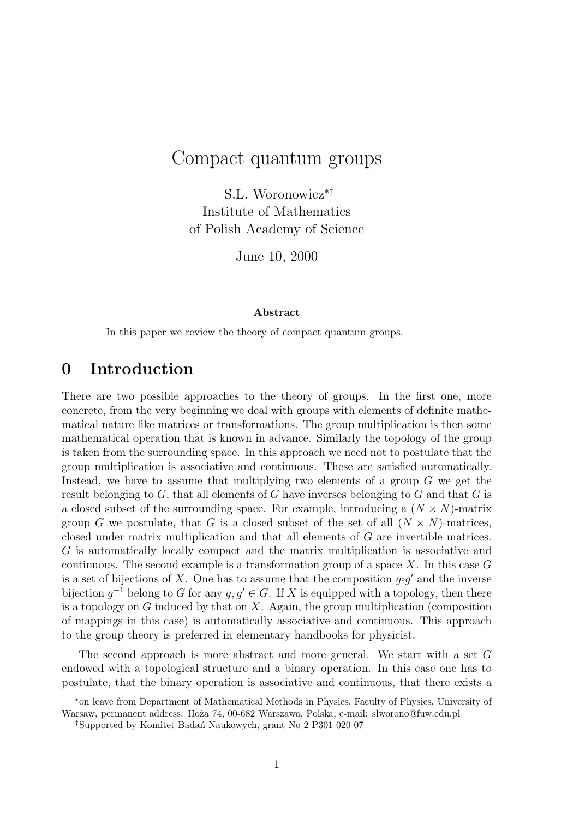# Compact quantum groups

S.L. Woronowicz∗† Institute of Mathematics of Polish Academy of Science

June 10, 2000

#### Abstract

In this paper we review the theory of compact quantum groups.

# 0 Introduction

There are two possible approaches to the theory of groups. In the first one, more concrete, from the very beginning we deal with groups with elements of definite mathematical nature like matrices or transformations. The group multiplication is then some mathematical operation that is known in advance. Similarly the topology of the group is taken from the surrounding space. In this approach we need not to postulate that the group multiplication is associative and continuous. These are satisfied automatically. Instead, we have to assume that multiplying two elements of a group G we get the result belonging to  $G$ , that all elements of  $G$  have inverses belonging to  $G$  and that  $G$  is a closed subset of the surrounding space. For example, introducing a  $(N \times N)$ -matrix group G we postulate, that G is a closed subset of the set of all  $(N \times N)$ -matrices, closed under matrix multiplication and that all elements of G are invertible matrices. G is automatically locally compact and the matrix multiplication is associative and continuous. The second example is a transformation group of a space  $X$ . In this case  $G$ is a set of bijections of X. One has to assume that the composition  $g \circ g'$  and the inverse bijection  $g^{-1}$  belong to G for any  $g, g' \in G$ . If X is equipped with a topology, then there is a topology on  $G$  induced by that on  $X$ . Again, the group multiplication (composition of mappings in this case) is automatically associative and continuous. This approach to the group theory is preferred in elementary handbooks for physicist.

The second approach is more abstract and more general. We start with a set G endowed with a topological structure and a binary operation. In this case one has to postulate, that the binary operation is associative and continuous, that there exists a

<sup>∗</sup>on leave from Department of Mathematical Methods in Physics, Faculty of Physics, University of Warsaw, permanent address: Hoża 74, 00-682 Warszawa, Polska, e-mail: slworono@fuw.edu.pl

<sup>&</sup>lt;sup>†</sup>Supported by Komitet Badan´ Naukowych, grant No 2 P301 020 07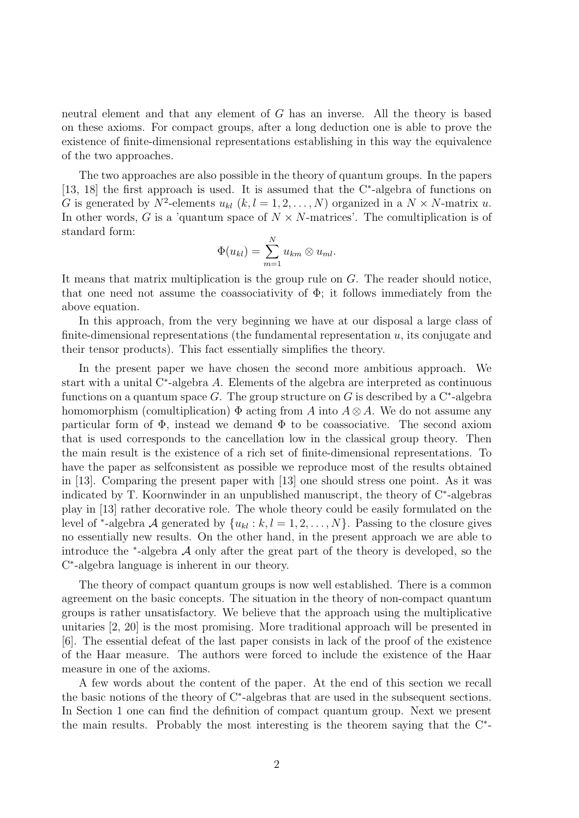neutral element and that any element of G has an inverse. All the theory is based on these axioms. For compact groups, after a long deduction one is able to prove the existence of finite-dimensional representations establishing in this way the equivalence of the two approaches.

The two approaches are also possible in the theory of quantum groups. In the papers [13, 18] the first approach is used. It is assumed that the C<sup>∗</sup>-algebra of functions on G is generated by  $N^2$ -elements  $u_{kl}$   $(k, l = 1, 2, ..., N)$  organized in a  $N \times N$ -matrix u. In other words, G is a 'quantum space of  $N \times N$ -matrices'. The comultiplication is of standard form:

$$
\Phi(u_{kl}) = \sum_{m=1}^N u_{km} \otimes u_{ml}.
$$

It means that matrix multiplication is the group rule on G. The reader should notice, that one need not assume the coassociativity of  $\Phi$ ; it follows immediately from the above equation.

In this approach, from the very beginning we have at our disposal a large class of finite-dimensional representations (the fundamental representation  $u$ , its conjugate and their tensor products). This fact essentially simplifies the theory.

In the present paper we have chosen the second more ambitious approach. We start with a unital  $C^*$ -algebra A. Elements of the algebra are interpreted as continuous functions on a quantum space G. The group structure on G is described by a  $\mathrm{C}^*$ -algebra homomorphism (comultiplication)  $\Phi$  acting from A into  $A \otimes A$ . We do not assume any particular form of  $\Phi$ , instead we demand  $\Phi$  to be coassociative. The second axiom that is used corresponds to the cancellation low in the classical group theory. Then the main result is the existence of a rich set of finite-dimensional representations. To have the paper as selfconsistent as possible we reproduce most of the results obtained in [13]. Comparing the present paper with [13] one should stress one point. As it was indicated by T. Koornwinder in an unpublished manuscript, the theory of C<sup>∗</sup> -algebras play in [13] rather decorative role. The whole theory could be easily formulated on the level of <sup>\*</sup>-algebra A generated by  $\{u_{kl}: k, l = 1, 2, \ldots, N\}$ . Passing to the closure gives no essentially new results. On the other hand, in the present approach we are able to introduce the  $*$ -algebra  $A$  only after the great part of the theory is developed, so the C ∗ -algebra language is inherent in our theory.

The theory of compact quantum groups is now well established. There is a common agreement on the basic concepts. The situation in the theory of non-compact quantum groups is rather unsatisfactory. We believe that the approach using the multiplicative unitaries [2, 20] is the most promising. More traditional approach will be presented in [6]. The essential defeat of the last paper consists in lack of the proof of the existence of the Haar measure. The authors were forced to include the existence of the Haar measure in one of the axioms.

A few words about the content of the paper. At the end of this section we recall the basic notions of the theory of C<sup>∗</sup> -algebras that are used in the subsequent sections. In Section 1 one can find the definition of compact quantum group. Next we present the main results. Probably the most interesting is the theorem saying that the C<sup>\*</sup>-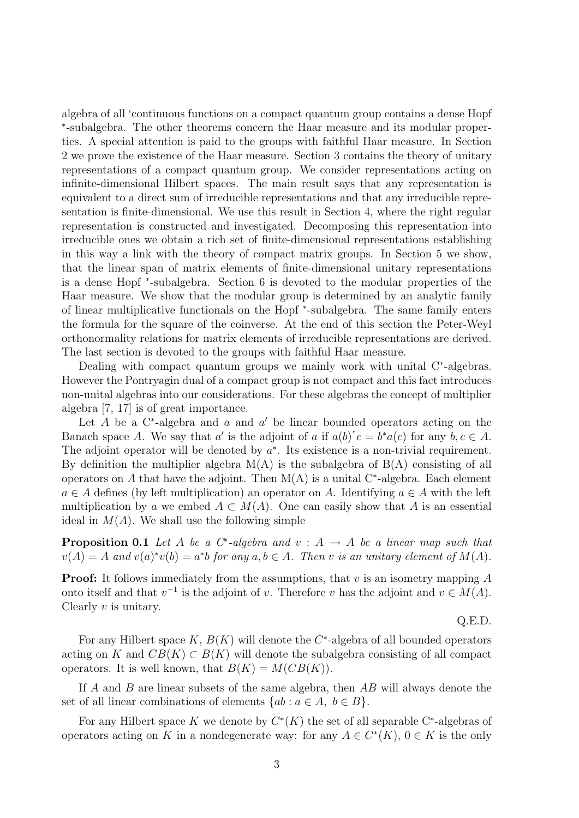algebra of all 'continuous functions on a compact quantum group contains a dense Hopf ∗ -subalgebra. The other theorems concern the Haar measure and its modular properties. A special attention is paid to the groups with faithful Haar measure. In Section 2 we prove the existence of the Haar measure. Section 3 contains the theory of unitary representations of a compact quantum group. We consider representations acting on infinite-dimensional Hilbert spaces. The main result says that any representation is equivalent to a direct sum of irreducible representations and that any irreducible representation is finite-dimensional. We use this result in Section 4, where the right regular representation is constructed and investigated. Decomposing this representation into irreducible ones we obtain a rich set of finite-dimensional representations establishing in this way a link with the theory of compact matrix groups. In Section 5 we show, that the linear span of matrix elements of finite-dimensional unitary representations is a dense Hopf <sup>∗</sup> -subalgebra. Section 6 is devoted to the modular properties of the Haar measure. We show that the modular group is determined by an analytic family of linear multiplicative functionals on the Hopf \*-subalgebra. The same family enters the formula for the square of the coinverse. At the end of this section the Peter-Weyl orthonormality relations for matrix elements of irreducible representations are derived. The last section is devoted to the groups with faithful Haar measure.

Dealing with compact quantum groups we mainly work with unital C<sup>∗</sup>-algebras. However the Pontryagin dual of a compact group is not compact and this fact introduces non-unital algebras into our considerations. For these algebras the concept of multiplier algebra [7, 17] is of great importance.

Let  $A$  be a C<sup>\*</sup>-algebra and  $a$  and  $a'$  be linear bounded operators acting on the Banach space A. We say that a' is the adjoint of a if  $a(b)^*c = b^*a(c)$  for any  $b, c \in A$ . The adjoint operator will be denoted by  $a^*$ . Its existence is a non-trivial requirement. By definition the multiplier algebra  $M(A)$  is the subalgebra of  $B(A)$  consisting of all operators on A that have the adjoint. Then  $M(A)$  is a unital C<sup>\*</sup>-algebra. Each element  $a \in A$  defines (by left multiplication) an operator on A. Identifying  $a \in A$  with the left multiplication by a we embed  $A \subset M(A)$ . One can easily show that A is an essential ideal in  $M(A)$ . We shall use the following simple

**Proposition 0.1** Let A be a C<sup>\*</sup>-algebra and  $v : A \rightarrow A$  be a linear map such that  $v(A) = A$  and  $v(a)^*v(b) = a^*b$  for any  $a, b \in A$ . Then v is an unitary element of  $M(A)$ .

**Proof:** It follows immediately from the assumptions, that  $v$  is an isometry mapping  $A$ onto itself and that  $v^{-1}$  is the adjoint of v. Therefore v has the adjoint and  $v \in M(A)$ . Clearly  $v$  is unitary.

Q.E.D.

For any Hilbert space  $K, B(K)$  will denote the  $C^*$ -algebra of all bounded operators acting on K and  $CB(K) \subset B(K)$  will denote the subalgebra consisting of all compact operators. It is well known, that  $B(K) = M(CB(K)).$ 

If  $A$  and  $B$  are linear subsets of the same algebra, then  $AB$  will always denote the set of all linear combinations of elements  $\{ab : a \in A, b \in B\}.$ 

For any Hilbert space K we denote by  $C^*(K)$  the set of all separable C<sup>\*</sup>-algebras of operators acting on K in a nondegenerate way: for any  $A \in C^{*}(K)$ ,  $0 \in K$  is the only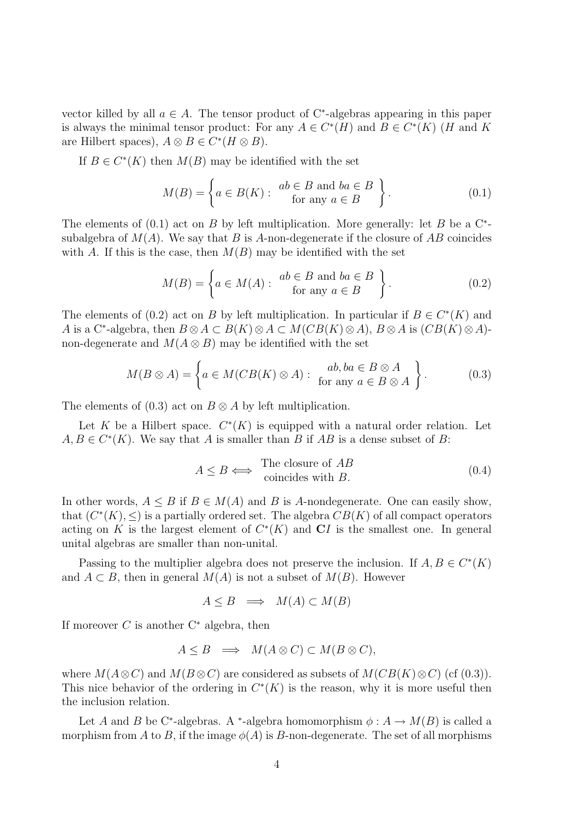vector killed by all  $a \in A$ . The tensor product of C<sup>\*</sup>-algebras appearing in this paper is always the minimal tensor product: For any  $A \in C^*(H)$  and  $B \in C^*(K)$  (H and K are Hilbert spaces),  $A \otimes B \in C^*(H \otimes B)$ .

If  $B \in C^*(K)$  then  $M(B)$  may be identified with the set

$$
M(B) = \left\{ a \in B(K) : \begin{array}{c} ab \in B \text{ and } ba \in B \\ \text{for any } a \in B \end{array} \right\}.
$$
 (0.1)

The elements of  $(0.1)$  act on B by left multiplication. More generally: let B be a  $C^*$ subalgebra of  $M(A)$ . We say that B is A-non-degenerate if the closure of AB coincides with A. If this is the case, then  $M(B)$  may be identified with the set

$$
M(B) = \left\{ a \in M(A) : \begin{array}{c} ab \in B \text{ and } ba \in B \\ \text{for any } a \in B \end{array} \right\}.
$$
 (0.2)

The elements of (0.2) act on B by left multiplication. In particular if  $B \in C^{*}(K)$  and A is a C<sup>\*</sup>-algebra, then  $B \otimes A \subset B(K) \otimes A \subset M(CB(K) \otimes A)$ ,  $B \otimes A$  is  $(CB(K) \otimes A)$ non-degenerate and  $M(A \otimes B)$  may be identified with the set

$$
M(B \otimes A) = \left\{ a \in M(CB(K) \otimes A) : \begin{array}{c} ab, ba \in B \otimes A \\ \text{for any } a \in B \otimes A \end{array} \right\}.
$$
 (0.3)

The elements of (0.3) act on  $B \otimes A$  by left multiplication.

Let K be a Hilbert space.  $C^*(K)$  is equipped with a natural order relation. Let  $A, B \in C^*(K)$ . We say that A is smaller than B if AB is a dense subset of B:

$$
A \le B \iff \begin{array}{c} \text{The closure of } AB \\ \text{coincides with } B. \end{array} \tag{0.4}
$$

In other words,  $A \leq B$  if  $B \in M(A)$  and B is A-nondegenerate. One can easily show, that  $(C^*(K), \leq)$  is a partially ordered set. The algebra  $\overline{CB}(K)$  of all compact operators acting on K is the largest element of  $C<sup>*</sup>(K)$  and CI is the smallest one. In general unital algebras are smaller than non-unital.

Passing to the multiplier algebra does not preserve the inclusion. If  $A, B \in C^*(K)$ and  $A \subset B$ , then in general  $M(A)$  is not a subset of  $M(B)$ . However

$$
A \le B \implies M(A) \subset M(B)
$$

If moreover  $C$  is another  $C^*$  algebra, then

$$
A \leq B \implies M(A \otimes C) \subset M(B \otimes C),
$$

where  $M(A \otimes C)$  and  $M(B \otimes C)$  are considered as subsets of  $M(CB(K) \otimes C)$  (cf (0.3)). This nice behavior of the ordering in  $C<sup>*</sup>(K)$  is the reason, why it is more useful then the inclusion relation.

Let A and B be C<sup>\*</sup>-algebras. A <sup>\*</sup>-algebra homomorphism  $\phi: A \to M(B)$  is called a morphism from A to B, if the image  $\phi(A)$  is B-non-degenerate. The set of all morphisms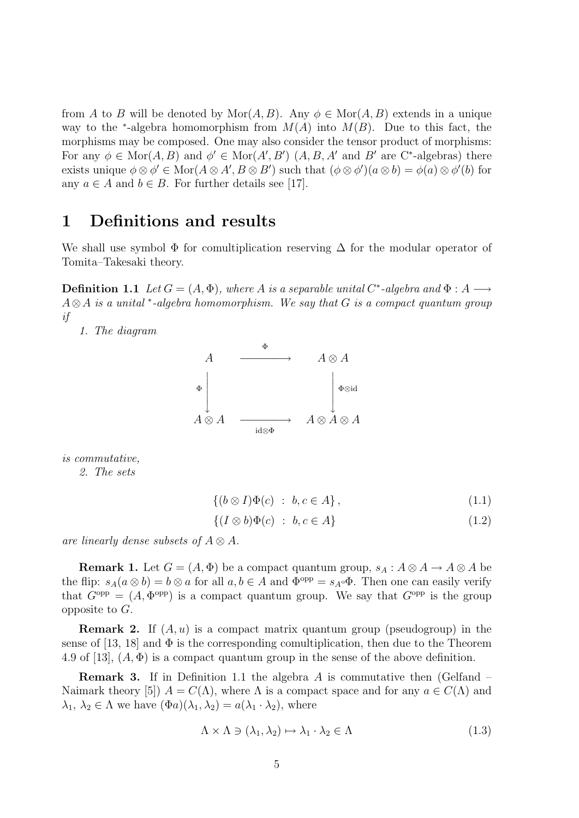from A to B will be denoted by  $\text{Mor}(A, B)$ . Any  $\phi \in \text{Mor}(A, B)$  extends in a unique way to the <sup>\*</sup>-algebra homomorphism from  $M(A)$  into  $M(B)$ . Due to this fact, the morphisms may be composed. One may also consider the tensor product of morphisms: For any  $\phi \in \text{Mor}(A, B)$  and  $\phi' \in \text{Mor}(A', B')$   $(A, B, A'$  and  $B'$  are C<sup>\*</sup>-algebras) there exists unique  $\phi \otimes \phi' \in \text{Mor}(A \otimes A', B \otimes B')$  such that  $(\phi \otimes \phi')(a \otimes b) = \phi(a) \otimes \phi'(b)$  for any  $a \in A$  and  $b \in B$ . For further details see [17].

### 1 Definitions and results

We shall use symbol  $\Phi$  for comultiplication reserving  $\Delta$  for the modular operator of Tomita–Takesaki theory.

**Definition 1.1** Let  $G = (A, \Phi)$ , where A is a separable unital C<sup>\*</sup>-algebra and  $\Phi : A \longrightarrow$  $A \otimes A$  is a unital \*-algebra homomorphism. We say that G is a compact quantum group if

1. The diagram



is commutative,

2. The sets

$$
\{(b \otimes I)\Phi(c) : b, c \in A\},\tag{1.1}
$$

$$
\{(I \otimes b)\Phi(c) : b, c \in A\} \tag{1.2}
$$

are linearly dense subsets of  $A \otimes A$ .

**Remark 1.** Let  $G = (A, \Phi)$  be a compact quantum group,  $s_A : A \otimes A \rightarrow A \otimes A$  be the flip:  $s_A(a \otimes b) = b \otimes a$  for all  $a, b \in A$  and  $\Phi^{\text{opp}} = s_{A} \circ \Phi$ . Then one can easily verify that  $G^{\text{opp}} = (A, \Phi^{\text{opp}})$  is a compact quantum group. We say that  $G^{\text{opp}}$  is the group opposite to  $G$ .

**Remark 2.** If  $(A, u)$  is a compact matrix quantum group (pseudogroup) in the sense of [13, 18] and  $\Phi$  is the corresponding comultiplication, then due to the Theorem 4.9 of [13],  $(A, \Phi)$  is a compact quantum group in the sense of the above definition.

**Remark 3.** If in Definition 1.1 the algebra A is commutative then (Gelfand – Naimark theory [5])  $A = C(\Lambda)$ , where  $\Lambda$  is a compact space and for any  $a \in C(\Lambda)$  and  $\lambda_1, \lambda_2 \in \Lambda$  we have  $(\Phi a)(\lambda_1, \lambda_2) = a(\lambda_1 \cdot \lambda_2)$ , where

$$
\Lambda \times \Lambda \ni (\lambda_1, \lambda_2) \mapsto \lambda_1 \cdot \lambda_2 \in \Lambda \tag{1.3}
$$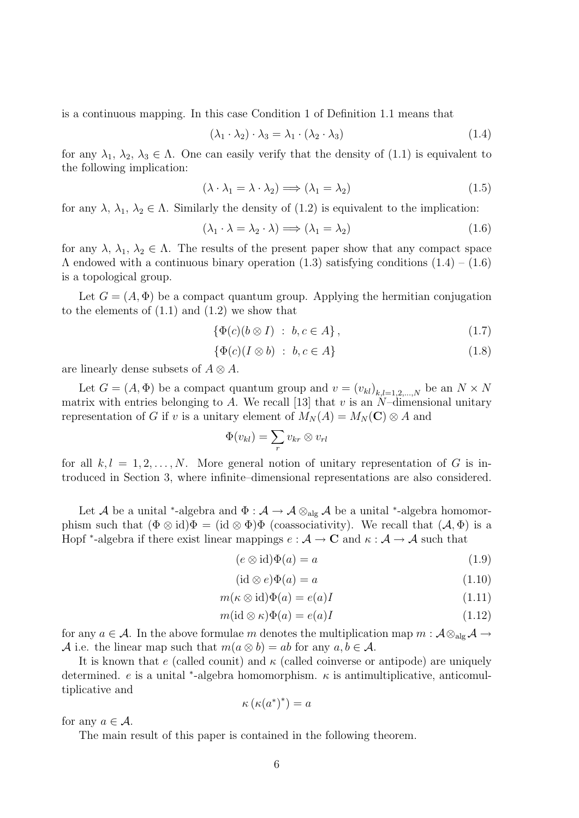is a continuous mapping. In this case Condition 1 of Definition 1.1 means that

$$
(\lambda_1 \cdot \lambda_2) \cdot \lambda_3 = \lambda_1 \cdot (\lambda_2 \cdot \lambda_3) \tag{1.4}
$$

for any  $\lambda_1, \lambda_2, \lambda_3 \in \Lambda$ . One can easily verify that the density of (1.1) is equivalent to the following implication:

$$
(\lambda \cdot \lambda_1 = \lambda \cdot \lambda_2) \Longrightarrow (\lambda_1 = \lambda_2) \tag{1.5}
$$

for any  $\lambda$ ,  $\lambda_1$ ,  $\lambda_2 \in \Lambda$ . Similarly the density of (1.2) is equivalent to the implication:

$$
(\lambda_1 \cdot \lambda = \lambda_2 \cdot \lambda) \Longrightarrow (\lambda_1 = \lambda_2) \tag{1.6}
$$

for any  $\lambda$ ,  $\lambda_1$ ,  $\lambda_2 \in \Lambda$ . The results of the present paper show that any compact space  $\Lambda$  endowed with a continuous binary operation (1.3) satisfying conditions (1.4) – (1.6) is a topological group.

Let  $G = (A, \Phi)$  be a compact quantum group. Applying the hermitian conjugation to the elements of  $(1.1)$  and  $(1.2)$  we show that

$$
\{\Phi(c)(b \otimes I) : b, c \in A\},\tag{1.7}
$$

$$
\{\Phi(c)(I \otimes b) \; : \; b, c \in A\} \tag{1.8}
$$

are linearly dense subsets of  $A \otimes A$ .

Let  $G = (A, \Phi)$  be a compact quantum group and  $v = (v_{kl})_{k,l=1,2,...,N}$  be an  $N \times N$ matrix with entries belonging to A. We recall [13] that v is an  $N$ -dimensional unitary representation of G if v is a unitary element of  $M_N(A) = M_N(C) \otimes A$  and

$$
\Phi(v_{kl}) = \sum_r v_{kr} \otimes v_{rl}
$$

for all  $k, l = 1, 2, ..., N$ . More general notion of unitary representation of G is introduced in Section 3, where infinite–dimensional representations are also considered.

Let A be a unital <sup>\*</sup>-algebra and  $\Phi: \mathcal{A} \to \mathcal{A} \otimes_{\text{alg}} \mathcal{A}$  be a unital <sup>\*</sup>-algebra homomorphism such that  $(\Phi \otimes id)\Phi = (id \otimes \Phi)\Phi$  (coassociativity). We recall that  $(\mathcal{A}, \Phi)$  is a Hopf \*-algebra if there exist linear mappings  $e : A \to \mathbb{C}$  and  $\kappa : A \to A$  such that

$$
(e \otimes id)\Phi(a) = a \tag{1.9}
$$

$$
(\mathrm{id}\otimes e)\Phi(a) = a \tag{1.10}
$$

$$
m(\kappa \otimes \text{id})\Phi(a) = e(a)I \tag{1.11}
$$

$$
m(\mathrm{id}\otimes \kappa)\Phi(a) = e(a)I\tag{1.12}
$$

for any  $a \in \mathcal{A}$ . In the above formulae m denotes the multiplication map  $m : \mathcal{A} \otimes_{\text{alg}} \mathcal{A} \to$ A i.e. the linear map such that  $m(a \otimes b) = ab$  for any  $a, b \in \mathcal{A}$ .

It is known that e (called counit) and  $\kappa$  (called coinverse or antipode) are uniquely determined. e is a unital \*-algebra homomorphism.  $\kappa$  is antimultiplicative, anticomultiplicative and

$$
\kappa\left(\kappa(a^*)^*\right) = a
$$

for any  $a \in \mathcal{A}$ .

The main result of this paper is contained in the following theorem.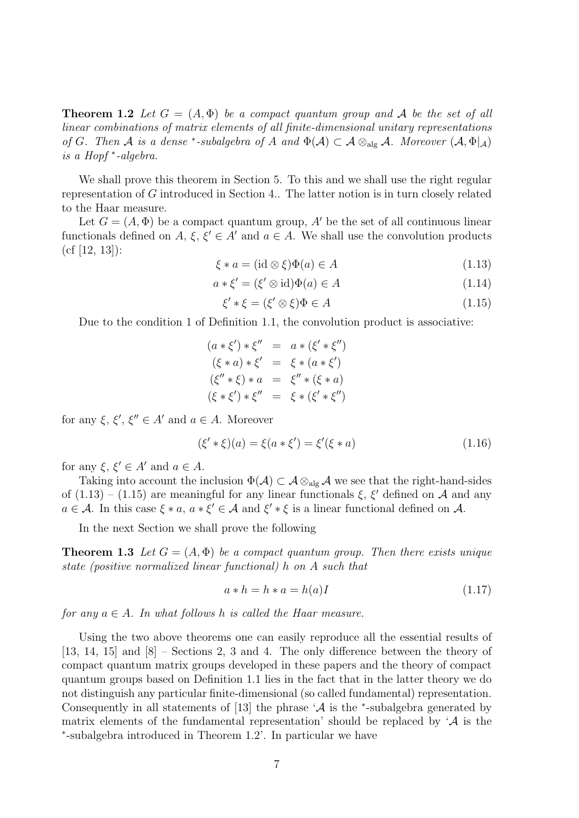**Theorem 1.2** Let  $G = (A, \Phi)$  be a compact quantum group and A be the set of all linear combinations of matrix elements of all finite-dimensional unitary representations of G. Then A is a dense \*-subalgebra of A and  $\Phi(\mathcal{A}) \subset \mathcal{A} \otimes_{\text{alg}} \mathcal{A}$ . Moreover  $(\mathcal{A}, \Phi|_{\mathcal{A}})$ is a Hopf <sup>∗</sup> -algebra.

We shall prove this theorem in Section 5. To this and we shall use the right regular representation of G introduced in Section 4.. The latter notion is in turn closely related to the Haar measure.

Let  $G = (A, \Phi)$  be a compact quantum group, A' be the set of all continuous linear functionals defined on A,  $\xi, \xi' \in A'$  and  $a \in A$ . We shall use the convolution products (cf [12, 13]):

$$
\xi * a = (\text{id} \otimes \xi)\Phi(a) \in A \tag{1.13}
$$

$$
a * \xi' = (\xi' \otimes id)\Phi(a) \in A \tag{1.14}
$$

$$
\xi' * \xi = (\xi' \otimes \xi)\Phi \in A \tag{1.15}
$$

Due to the condition 1 of Definition 1.1, the convolution product is associative:

 $(a * \xi') * \xi'' = a * (\xi' * \xi'')$  $(\xi * a) * \xi' = \xi * (a * \xi')$  $(\xi'' * \xi) * a = \xi'' * (\xi * a)$  $(\xi * \xi') * \xi'' = \xi * (\xi' * \xi'')$ 

for any  $\xi, \xi', \xi'' \in A'$  and  $a \in A$ . Moreover

$$
(\xi' * \xi)(a) = \xi(a * \xi') = \xi'(\xi * a)
$$
\n(1.16)

for any  $\xi, \xi' \in A'$  and  $a \in A$ .

Taking into account the inclusion  $\Phi(\mathcal{A}) \subset \mathcal{A} \otimes_{\text{alg}} \mathcal{A}$  we see that the right-hand-sides of  $(1.13) - (1.15)$  are meaningful for any linear functionals  $\xi$ ,  $\xi'$  defined on A and any  $a \in \mathcal{A}$ . In this case  $\xi * a$ ,  $a * \xi' \in \mathcal{A}$  and  $\xi' * \xi$  is a linear functional defined on  $\mathcal{A}$ .

In the next Section we shall prove the following

**Theorem 1.3** Let  $G = (A, \Phi)$  be a compact quantum group. Then there exists unique state (positive normalized linear functional) h on A such that

$$
a * h = h * a = h(a)I
$$
\n
$$
(1.17)
$$

for any  $a \in A$ . In what follows h is called the Haar measure.

Using the two above theorems one can easily reproduce all the essential results of [13, 14, 15] and [8] – Sections 2, 3 and 4. The only difference between the theory of compact quantum matrix groups developed in these papers and the theory of compact quantum groups based on Definition 1.1 lies in the fact that in the latter theory we do not distinguish any particular finite-dimensional (so called fundamental) representation. Consequently in all statements of [13] the phrase  $\mathcal{A}$  is the  $*$ -subalgebra generated by matrix elements of the fundamental representation' should be replaced by  $\mathcal A$  is the ∗ -subalgebra introduced in Theorem 1.2'. In particular we have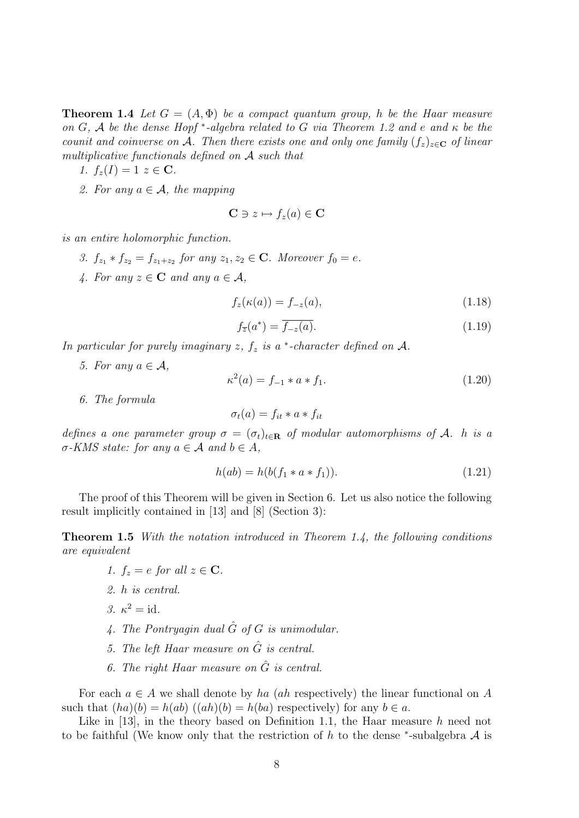**Theorem 1.4** Let  $G = (A, \Phi)$  be a compact quantum group, h be the Haar measure on G, A be the dense Hopf \*-algebra related to G via Theorem 1.2 and e and  $\kappa$  be the counit and coinverse on A. Then there exists one and only one family  $(f_z)_{z \in \mathbf{C}}$  of linear multiplicative functionals defined on A such that

1. 
$$
f_z(I) = 1 \ z \in \mathbf{C}
$$
.

2. For any  $a \in \mathcal{A}$ , the mapping

$$
\mathbf{C}\ni z\mapsto f_z(a)\in\mathbf{C}
$$

is an entire holomorphic function.

- 3.  $f_{z_1} * f_{z_2} = f_{z_1 + z_2}$  for any  $z_1, z_2 \in \mathbb{C}$ . Moreover  $f_0 = e$ .
- 4. For any  $z \in \mathbf{C}$  and any  $a \in \mathcal{A}$ ,

$$
f_z(\kappa(a)) = f_{-z}(a),\tag{1.18}
$$

$$
f_{\overline{z}}(a^*) = \overline{f_{-z}(a)}.\tag{1.19}
$$

In particular for purely imaginary  $z, f_z$  is a  $*$ -character defined on  $A$ .

5. For any  $a \in \mathcal{A}$ ,

$$
\kappa^2(a) = f_{-1} * a * f_1. \tag{1.20}
$$

6. The formula

$$
\sigma_t(a) = f_{it} * a * f_{it}
$$

defines a one parameter group  $\sigma = (\sigma_t)_{t \in \mathbf{R}}$  of modular automorphisms of A. h is a  $\sigma$ -KMS state: for any  $a \in \mathcal{A}$  and  $b \in A$ ,

$$
h(ab) = h(b(f_1 * a * f_1)).
$$
\n(1.21)

The proof of this Theorem will be given in Section 6. Let us also notice the following result implicitly contained in [13] and [8] (Section 3):

Theorem 1.5 With the notation introduced in Theorem 1.4, the following conditions are equivalent

- 1.  $f_z = e$  for all  $z \in \mathbf{C}$ .
- 2. h is central.
- 3.  $\kappa^2 = \mathrm{id}$ .
- 4. The Pontryagin dual  $\hat{G}$  of G is unimodular.
- 5. The left Haar measure on  $\hat{G}$  is central.
- 6. The right Haar measure on  $\hat{G}$  is central.

For each  $a \in A$  we shall denote by ha (ah respectively) the linear functional on A such that  $(ha)(b) = h(ab)$   $((ah)(b) = h(ba))$  respectively) for any  $b \in a$ .

Like in  $[13]$ , in the theory based on Definition 1.1, the Haar measure h need not to be faithful (We know only that the restriction of h to the dense \*-subalgebra  $A$  is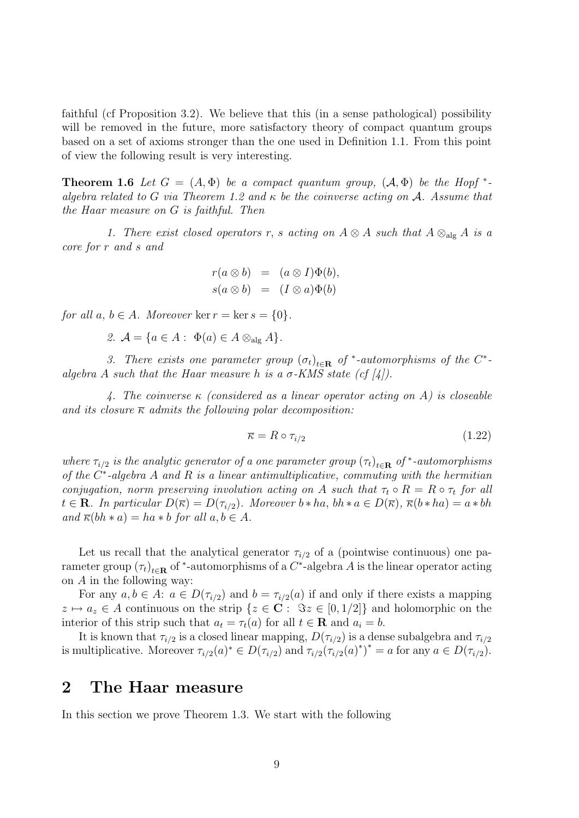faithful (cf Proposition 3.2). We believe that this (in a sense pathological) possibility will be removed in the future, more satisfactory theory of compact quantum groups based on a set of axioms stronger than the one used in Definition 1.1. From this point of view the following result is very interesting.

**Theorem 1.6** Let  $G = (A, \Phi)$  be a compact quantum group,  $(A, \Phi)$  be the Hopf  $*$ algebra related to G via Theorem 1.2 and  $\kappa$  be the coinverse acting on A. Assume that the Haar measure on G is faithful. Then

1. There exist closed operators r, s acting on  $A \otimes A$  such that  $A \otimes_{\text{alg}} A$  is a core for r and s and

$$
r(a \otimes b) = (a \otimes I)\Phi(b),
$$
  

$$
s(a \otimes b) = (I \otimes a)\Phi(b)
$$

for all  $a, b \in A$ . Moreover  $\ker r = \ker s = \{0\}$ .

2. 
$$
\mathcal{A} = \{a \in A : \Phi(a) \in A \otimes_{\text{alg}} A\}.
$$

3. There exists one parameter group  $(\sigma_t)_{t \in \mathbf{R}}$  of \*-automorphisms of the C\*algebra A such that the Haar measure h is a  $\sigma$ -KMS state (cf [4]).

4. The coinverse  $\kappa$  (considered as a linear operator acting on A) is closeable and its closure  $\overline{\kappa}$  admits the following polar decomposition:

$$
\overline{\kappa} = R \circ \tau_{i/2} \tag{1.22}
$$

where  $\tau_{i/2}$  is the analytic generator of a one parameter group  $(\tau_t)_{t \in \mathbf{R}}$  of \*-automorphisms of the  $C^*$ -algebra A and R is a linear antimultiplicative, commuting with the hermitian conjugation, norm preserving involution acting on A such that  $\tau_t \circ R = R \circ \tau_t$  for all  $t \in \mathbf{R}$ . In particular  $D(\overline{\kappa}) = D(\tau_{i/2})$ . Moreover  $b * ha$ ,  $bh * a \in D(\overline{\kappa})$ ,  $\overline{\kappa}(b * ha) = a * bh$ and  $\overline{\kappa}(bh * a) = ha * b$  for all  $a, b \in A$ .

Let us recall that the analytical generator  $\tau_{i/2}$  of a (pointwise continuous) one parameter group  $(\tau_t)_{t \in \mathbf{R}}$  of \*-automorphisms of a  $C^*$ -algebra A is the linear operator acting on  $A$  in the following way:

For any  $a, b \in A$ :  $a \in D(\tau_{i/2})$  and  $b = \tau_{i/2}(a)$  if and only if there exists a mapping  $z \mapsto a_z \in A$  continuous on the strip  $\{z \in \mathbb{C} : \Im z \in [0, 1/2]\}$  and holomorphic on the interior of this strip such that  $a_t = \tau_t(a)$  for all  $t \in \mathbf{R}$  and  $a_i = b$ .

It is known that  $\tau_{i/2}$  is a closed linear mapping,  $D(\tau_{i/2})$  is a dense subalgebra and  $\tau_{i/2}$ is multiplicative. Moreover  $\tau_{i/2}(a)^* \in D(\tau_{i/2})$  and  $\tau_{i/2}(\tau_{i/2}(a)^*)^* = a$  for any  $a \in D(\tau_{i/2})$ .

### 2 The Haar measure

In this section we prove Theorem 1.3. We start with the following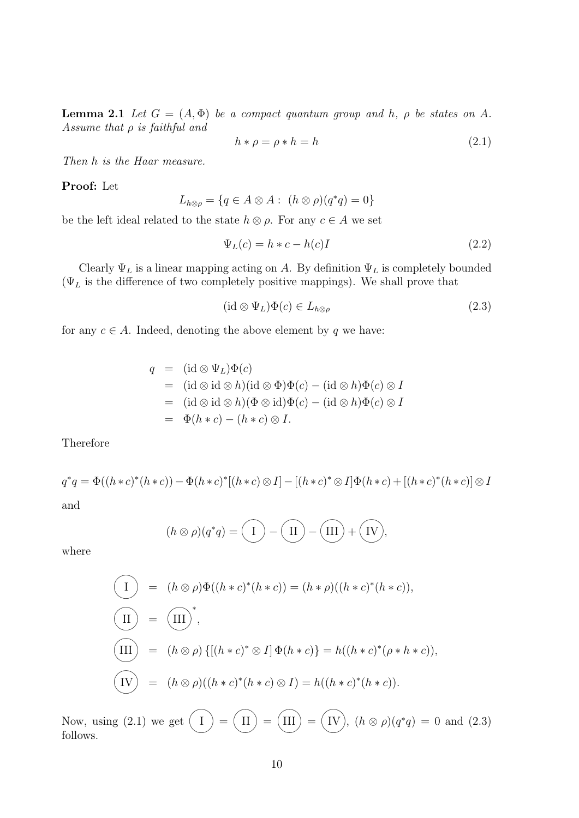**Lemma 2.1** Let  $G = (A, \Phi)$  be a compact quantum group and h,  $\rho$  be states on A. Assume that  $\rho$  is faithful and

$$
h * \rho = \rho * h = h \tag{2.1}
$$

Then h is the Haar measure.

Proof: Let

$$
L_{h\otimes\rho} = \{q \in A \otimes A : (h \otimes \rho)(q^*q) = 0\}
$$

be the left ideal related to the state  $h \otimes \rho$ . For any  $c \in A$  we set

$$
\Psi_L(c) = h * c - h(c)I \tag{2.2}
$$

Clearly  $\Psi_L$  is a linear mapping acting on A. By definition  $\Psi_L$  is completely bounded  $(\Psi_L$  is the difference of two completely positive mappings). We shall prove that

$$
(\mathrm{id} \otimes \Psi_L)\Phi(c) \in L_{h\otimes\rho} \tag{2.3}
$$

for any  $c \in A$ . Indeed, denoting the above element by q we have:

$$
q = (\mathrm{id} \otimes \Psi_L)\Phi(c)
$$
  
=  $(\mathrm{id} \otimes \mathrm{id} \otimes h)(\mathrm{id} \otimes \Phi)\Phi(c) - (\mathrm{id} \otimes h)\Phi(c) \otimes I$   
=  $(\mathrm{id} \otimes \mathrm{id} \otimes h)(\Phi \otimes \mathrm{id})\Phi(c) - (\mathrm{id} \otimes h)\Phi(c) \otimes I$   
=  $\Phi(h * c) - (h * c) \otimes I$ .

Therefore

$$
q^*q = \Phi((h*c)^*(h*c)) - \Phi(h*c)^*[(h*c) \otimes I] - [(h*c)^* \otimes I]\Phi(h*c) + [(h*c)^*(h*c)] \otimes I
$$

and

$$
(h \otimes \rho)(q^*q) = \overline{(\phantom{a})} - \overline{(\phantom{a})} - \overline{(\phantom{a})} + \overline{(\phantom{a})}.
$$

where

$$
\begin{aligned}\n\begin{aligned}\n\begin{aligned}\n\begin{aligned}\n\begin{aligned}\n\begin{aligned}\n\begin{aligned}\n\begin{aligned}\n\begin{aligned}\n\begin{aligned}\n\end{aligned}\n\end{aligned}\n\end{aligned}\n\end{aligned}\n\end{aligned}\n\end{aligned}\n\end{aligned}\n\end{aligned}\n\end{aligned}\n\begin{aligned}\n\begin{aligned}\n\begin{aligned}\n\begin{aligned}\n\begin{aligned}\n\begin{aligned}\n\begin{aligned}\n\begin{aligned}\n\begin{aligned}\n\begin{aligned}\n\end{aligned}\n\end{aligned}\n\end{aligned}\n\end{aligned}\n\end{aligned}\n\end{aligned}\n\end{aligned}\n\begin{aligned}\n\begin{aligned}\n\begin{aligned}\n\begin{aligned}\n\begin{aligned}\n\begin{aligned}\n\begin{aligned}\n\begin{aligned}\n\begin{aligned}\n\end{aligned}\n\end{aligned}\n\end{aligned}\n\end{aligned}\n\end{aligned}\n\end{aligned}\n\begin{aligned}\n\begin{aligned}\n\begin{aligned}\n\begin{aligned}\n\begin{aligned}\n\begin{aligned}\n\begin{aligned}\n\begin{aligned}\n\begin{aligned}\n\end{aligned}\n\end{aligned}\n\end{aligned}\n\end{aligned}\n\end{aligned}\n\end{aligned}\n\begin{aligned}\n\begin{aligned}\n\begin{aligned}\n\begin{aligned}\n\begin{aligned}\n\begin{aligned}\n\begin{aligned}\n\begin{aligned}\n\begin{aligned}\n\begin{aligned}\n\end{aligned}\n\end{aligned}\n\end{aligned}\n\end{aligned}\n\end{aligned}\n\end{aligned}\n\begin{aligned}\n\begin{aligned}\n\begin{aligned}\n\begin{aligned}\n\begin{aligned}\n\begin{aligned}\n\begin{aligned}\n\begin{aligned}\n\begin{aligned}\n\begin{aligned}\n\end{aligned}\n\end{aligned}\n\end{aligned}\n\end{aligned}\n\end{aligned}\n\end{aligned}\n\begin{aligned}\n\begin{aligned}\n\begin{aligned}\n\begin{aligned}\n\begin{aligned}\n\begin{aligned}\n\begin{aligned}\n\begin{aligned}\n\begin{aligned}\n\begin{aligned}\n\begin{aligned}\n\begin{aligned}\n\begin{aligned}\n\begin{aligned}\n\begin{aligned}\n\begin{aligned}\n\begin{aligned}\n\begin{aligned}\n\begin{aligned}\n\begin{aligned}\n\begin{aligned}\n\begin{aligned}\n\begin{aligned}\n\begin{aligned}\n\begin{aligned}\n\begin{aligned}\n\begin{aligned}\n\end{aligned}\n\end{aligned
$$

Now, using (2.1) we get  $\sim$  $\bigcap$  $\mathbf I$  $\sim$  $\bigcap$  $\text{II}$   $\text{)}$   $=$  $\sim$  $\bigcap$  $\text{III}$  )  $=$  $\sim$  $\bigcap$ IV),  $(h \otimes \rho)(q^*q) = 0$  and  $(2.3)$ follows.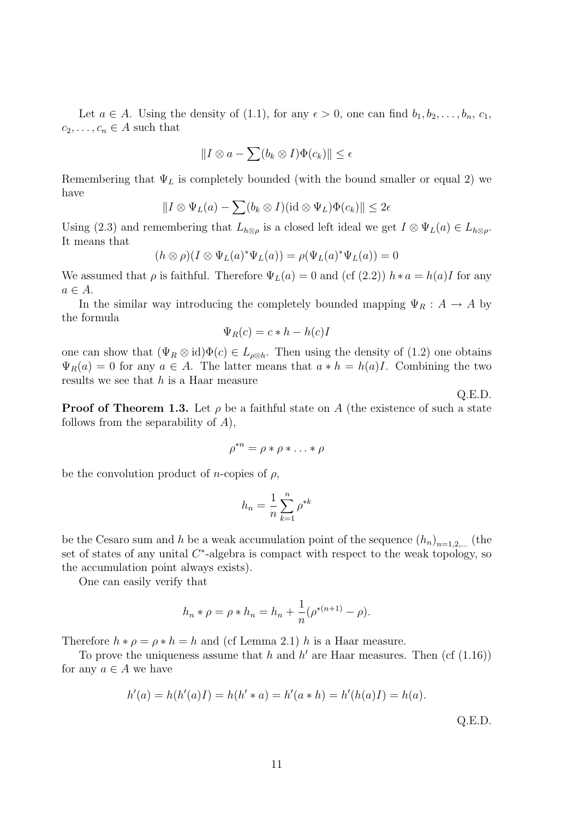Let  $a \in A$ . Using the density of (1.1), for any  $\epsilon > 0$ , one can find  $b_1, b_2, \ldots, b_n, c_1$ ,  $c_2, \ldots, c_n \in A$  such that

$$
||I \otimes a - \sum (b_k \otimes I)\Phi(c_k)|| \le \epsilon
$$

Remembering that  $\Psi_L$  is completely bounded (with the bound smaller or equal 2) we have

$$
||I \otimes \Psi_L(a) - \sum (b_k \otimes I)(\mathrm{id} \otimes \Psi_L)\Phi(c_k)|| \leq 2\epsilon
$$

Using (2.3) and remembering that  $L_{h\otimes\rho}$  is a closed left ideal we get  $I\otimes\Psi_L(a)\in L_{h\otimes\rho}$ . It means that

$$
(h \otimes \rho)(I \otimes \Psi_L(a)^* \Psi_L(a)) = \rho(\Psi_L(a)^* \Psi_L(a)) = 0
$$

We assumed that  $\rho$  is faithful. Therefore  $\Psi_L(a) = 0$  and (cf (2.2))  $h * a = h(a)I$  for any  $a \in A$ .

In the similar way introducing the completely bounded mapping  $\Psi_R : A \to A$  by the formula

$$
\Psi_R(c) = c * h - h(c)I
$$

one can show that  $(\Psi_R \otimes id)\Phi(c) \in L_{\rho\otimes h}$ . Then using the density of  $(1.2)$  one obtains  $\Psi_R(a) = 0$  for any  $a \in A$ . The latter means that  $a * h = h(a)I$ . Combining the two results we see that  $h$  is a Haar measure

**Proof of Theorem 1.3.** Let  $\rho$  be a faithful state on A (the existence of such a state follows from the separability of  $A$ ),

$$
\rho^{*n} = \rho * \rho * \ldots * \rho
$$

be the convolution product of *n*-copies of  $\rho$ ,

$$
h_n = \frac{1}{n} \sum_{k=1}^n \rho^{*k}
$$

be the Cesaro sum and h be a weak accumulation point of the sequence  $(h_n)_{n=1,2,...}$  (the set of states of any unital  $C^*$ -algebra is compact with respect to the weak topology, so the accumulation point always exists).

One can easily verify that

$$
h_n * \rho = \rho * h_n = h_n + \frac{1}{n} (\rho^{*(n+1)} - \rho).
$$

Therefore  $h * \rho = \rho * h = h$  and (cf Lemma 2.1) h is a Haar measure.

To prove the uniqueness assume that h and h' are Haar measures. Then (cf  $(1.16)$ ) for any  $a \in A$  we have

$$
h'(a) = h(h'(a)I) = h(h'*a) = h'(a*h) = h'(h(a)I) = h(a).
$$
 Q.E.D.

Q.E.D.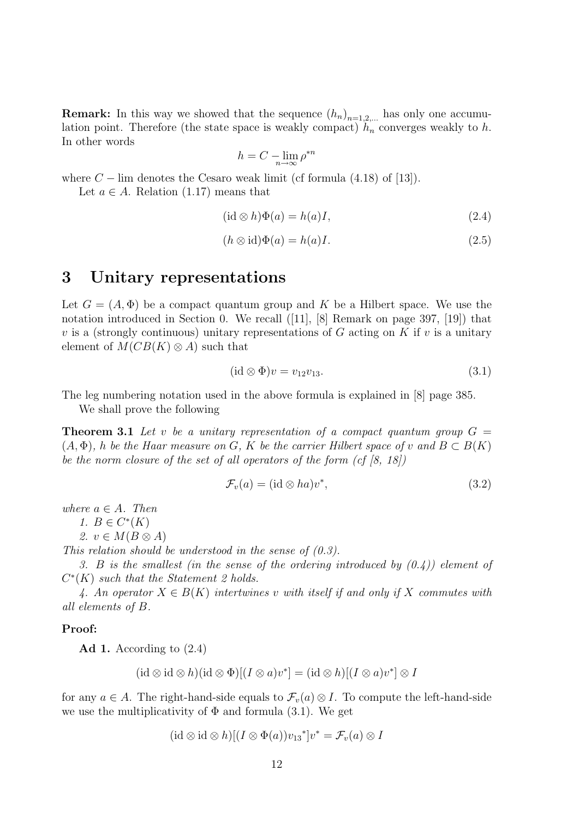**Remark:** In this way we showed that the sequence  $(h_n)_{n=1,2,...}$  has only one accumulation point. Therefore (the state space is weakly compact)  $h_n$  converges weakly to h. In other words

$$
h = C - \lim_{n \to \infty} \rho^{*n}
$$

where  $C - \lim$  denotes the Cesaro weak limit (cf formula (4.18) of [13]).

Let  $a \in A$ . Relation (1.17) means that

$$
(\mathrm{id} \otimes h)\Phi(a) = h(a)I,\tag{2.4}
$$

$$
(h \otimes id)\Phi(a) = h(a)I.
$$
\n(2.5)

## 3 Unitary representations

Let  $G = (A, \Phi)$  be a compact quantum group and K be a Hilbert space. We use the notation introduced in Section 0. We recall ([11], [8] Remark on page 397, [19]) that  $v$  is a (strongly continuous) unitary representations of  $G$  acting on  $K$  if  $v$  is a unitary element of  $M(CB(K) \otimes A)$  such that

$$
(\mathrm{id} \otimes \Phi)v = v_{12}v_{13}.\tag{3.1}
$$

The leg numbering notation used in the above formula is explained in [8] page 385.

We shall prove the following

**Theorem 3.1** Let v be a unitary representation of a compact quantum group  $G =$  $(A, \Phi)$ , h be the Haar measure on G, K be the carrier Hilbert space of v and  $B \subset B(K)$ be the norm closure of the set of all operators of the form  $(cf | 8, 18]$ 

$$
\mathcal{F}_v(a) = (\mathrm{id} \otimes ha)v^*,\tag{3.2}
$$

where  $a \in A$ . Then

1.  $B \in C^*(K)$ 

2.  $v \in M(B \otimes A)$ 

This relation should be understood in the sense of  $(0.3)$ .

3. B is the smallest (in the sense of the ordering introduced by  $(0.4)$ ) element of  $C^*(K)$  such that the Statement 2 holds.

4. An operator  $X \in B(K)$  intertwines v with itself if and only if X commutes with all elements of B.

#### Proof:

Ad 1. According to  $(2.4)$ 

$$
(\mathrm{id}\otimes \mathrm{id}\otimes h)(\mathrm{id}\otimes \Phi)[(I\otimes a)v^*] = (\mathrm{id}\otimes h)[(I\otimes a)v^*]\otimes I
$$

for any  $a \in A$ . The right-hand-side equals to  $\mathcal{F}_v(a) \otimes I$ . To compute the left-hand-side we use the multiplicativity of  $\Phi$  and formula (3.1). We get

$$
(\mathrm{id}\otimes \mathrm{id}\otimes h)[(I\otimes \Phi(a))v_{13}^*]v^*=\mathcal{F}_v(a)\otimes I
$$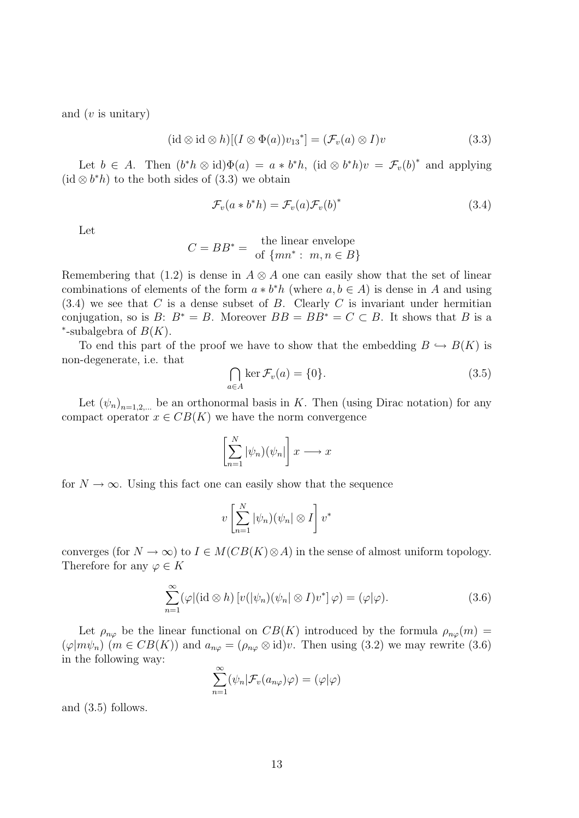and  $(v$  is unitary

$$
(\mathrm{id}\otimes \mathrm{id}\otimes h)[(I\otimes \Phi(a))v_{13}^*]=(\mathcal{F}_v(a)\otimes I)v
$$
\n(3.3)

Let  $b \in A$ . Then  $(b^*h \otimes id)\Phi(a) = a * b^*h$ ,  $(id \otimes b^*h)v = \mathcal{F}_v(b)^*$  and applying (id  $\otimes b^*h$ ) to the both sides of (3.3) we obtain

$$
\mathcal{F}_v(a * b^* h) = \mathcal{F}_v(a) \mathcal{F}_v(b)^* \tag{3.4}
$$

Let

$$
C = BB^* = \begin{cases} \text{the linear envelope} \\ \text{of } \{mn^* : m, n \in B\} \end{cases}
$$

Remembering that (1.2) is dense in  $A \otimes A$  one can easily show that the set of linear combinations of elements of the form  $a * b^*h$  (where  $a, b \in A$ ) is dense in A and using  $(3.4)$  we see that C is a dense subset of B. Clearly C is invariant under hermitian conjugation, so is  $B: B^* = B$ . Moreover  $BB = BB^* = C \subset B$ . It shows that B is a \*-subalgebra of  $B(K)$ .

To end this part of the proof we have to show that the embedding  $B \hookrightarrow B(K)$  is non-degenerate, i.e. that

$$
\bigcap_{a \in A} \ker \mathcal{F}_v(a) = \{0\}.
$$
\n(3.5)

Let  $(\psi_n)_{n=1,2,...}$  be an orthonormal basis in K. Then (using Dirac notation) for any compact operator  $x \in CB(K)$  we have the norm convergence

$$
\left[\sum_{n=1}^N |\psi_n)\big(\psi_n\big|\right] x \longrightarrow x
$$

for  $N \to \infty$ . Using this fact one can easily show that the sequence

$$
v\left[\sum_{n=1}^N |\psi_n)(\psi_n| \otimes I\right] v^*
$$

converges (for  $N \to \infty$ ) to  $I \in M(CB(K) \otimes A)$  in the sense of almost uniform topology. Therefore for any  $\varphi \in K$ 

$$
\sum_{n=1}^{\infty} (\varphi | (\mathrm{id} \otimes h) [v(|\psi_n)(\psi_n | \otimes I) v^*] \varphi) = (\varphi | \varphi).
$$
 (3.6)

Let  $\rho_{n\varphi}$  be the linear functional on  $CB(K)$  introduced by the formula  $\rho_{n\varphi}(m)$  =  $(\varphi|m\psi_n)$   $(m \in CB(K))$  and  $a_{n\varphi} = (\rho_{n\varphi} \otimes id)v$ . Then using (3.2) we may rewrite (3.6) in the following way:

$$
\sum_{n=1}^{\infty} (\psi_n | \mathcal{F}_v(a_{n\varphi})\varphi) = (\varphi | \varphi)
$$

and (3.5) follows.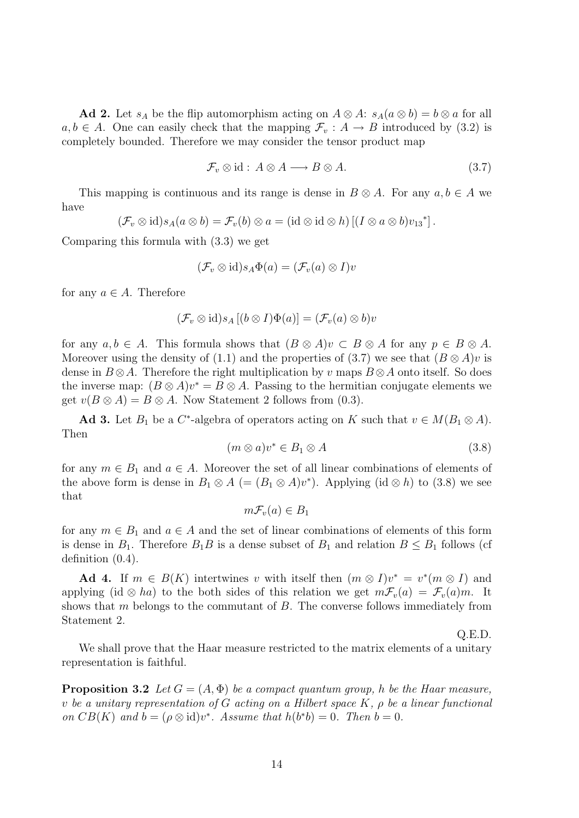Ad 2. Let  $s_A$  be the flip automorphism acting on  $A \otimes A: s_A(a \otimes b) = b \otimes a$  for all  $a, b \in A$ . One can easily check that the mapping  $\mathcal{F}_v : A \to B$  introduced by (3.2) is completely bounded. Therefore we may consider the tensor product map

$$
\mathcal{F}_v \otimes \text{id} : A \otimes A \longrightarrow B \otimes A. \tag{3.7}
$$

This mapping is continuous and its range is dense in  $B \otimes A$ . For any  $a, b \in A$  we have

$$
(\mathcal{F}_v \otimes id) s_A(a \otimes b) = \mathcal{F}_v(b) \otimes a = (id \otimes id \otimes h) \left[ (I \otimes a \otimes b) v_{13}^* \right].
$$

Comparing this formula with (3.3) we get

$$
(\mathcal{F}_v \otimes \mathrm{id})s_A \Phi(a) = (\mathcal{F}_v(a) \otimes I)v
$$

for any  $a \in A$ . Therefore

$$
(\mathcal{F}_v \otimes id)s_A [(b \otimes I)\Phi(a)] = (\mathcal{F}_v(a) \otimes b)v
$$

for any  $a, b \in A$ . This formula shows that  $(B \otimes A)v \subset B \otimes A$  for any  $p \in B \otimes A$ . Moreover using the density of (1.1) and the properties of (3.7) we see that  $(B \otimes A)v$  is dense in  $B \otimes A$ . Therefore the right multiplication by v maps  $B \otimes A$  onto itself. So does the inverse map:  $(B \otimes A)v^* = B \otimes A$ . Passing to the hermitian conjugate elements we get  $v(B \otimes A) = B \otimes A$ . Now Statement 2 follows from (0.3).

Ad 3. Let  $B_1$  be a  $C^*$ -algebra of operators acting on K such that  $v \in M(B_1 \otimes A)$ . Then

$$
(m \otimes a)v^* \in B_1 \otimes A \tag{3.8}
$$

for any  $m \in B_1$  and  $a \in A$ . Moreover the set of all linear combinations of elements of the above form is dense in  $B_1 \otimes A$  (=  $(B_1 \otimes A)v^*$ ). Applying (id  $\otimes h$ ) to (3.8) we see that

$$
m\mathcal{F}_v(a) \in B_1
$$

for any  $m \in B_1$  and  $a \in A$  and the set of linear combinations of elements of this form is dense in  $B_1$ . Therefore  $B_1B$  is a dense subset of  $B_1$  and relation  $B \le B_1$  follows (cf definition (0.4).

Ad 4. If  $m \in B(K)$  intertwines v with itself then  $(m \otimes I)v^* = v^*(m \otimes I)$  and applying (id ⊗ ha) to the both sides of this relation we get  $mF_v(a) = F_v(a)m$ . It shows that  $m$  belongs to the commutant of  $B$ . The converse follows immediately from Statement 2.

Q.E.D.

We shall prove that the Haar measure restricted to the matrix elements of a unitary representation is faithful.

**Proposition 3.2** Let  $G = (A, \Phi)$  be a compact quantum group, h be the Haar measure, v be a unitary representation of G acting on a Hilbert space  $K$ ,  $\rho$  be a linear functional on  $CB(K)$  and  $b = (\rho \otimes id)v^*$ . Assume that  $h(b^*b) = 0$ . Then  $b = 0$ .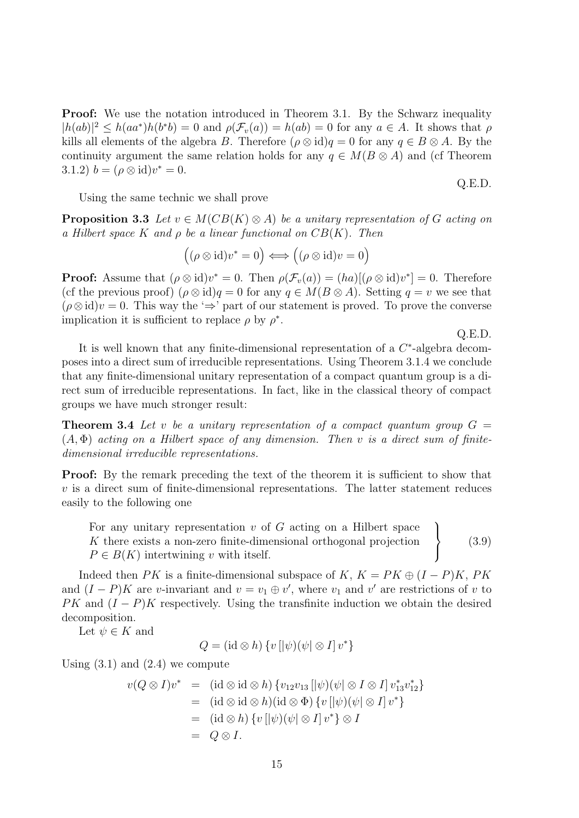**Proof:** We use the notation introduced in Theorem 3.1. By the Schwarz inequality  $|h(ab)|^2 \leq h(aa^*)h(b^*b) = 0$  and  $\rho(\mathcal{F}_v(a)) = h(ab) = 0$  for any  $a \in A$ . It shows that  $\rho$ kills all elements of the algebra B. Therefore  $(\rho \otimes id)q = 0$  for any  $q \in B \otimes A$ . By the continuity argument the same relation holds for any  $q \in M(B \otimes A)$  and (cf Theorem 3.1.2)  $b = (\rho \otimes id)v^* = 0.$ 

Using the same technic we shall prove

**Proposition 3.3** Let  $v \in M(CB(K) \otimes A)$  be a unitary representation of G acting on a Hilbert space K and  $\rho$  be a linear functional on  $CB(K)$ . Then

$$
((\rho \otimes id)v^* = 0) \Longleftrightarrow ((\rho \otimes id)v = 0)
$$

**Proof:** Assume that  $(\rho \otimes id)v^* = 0$ . Then  $\rho(\mathcal{F}_v(a)) = (ha)[(\rho \otimes id)v^*] = 0$ . Therefore (cf the previous proof)  $(\rho \otimes id)q = 0$  for any  $q \in M(B \otimes A)$ . Setting  $q = v$  we see that  $(\rho \otimes id)v = 0$ . This way the ' $\Rightarrow$ ' part of our statement is proved. To prove the converse implication it is sufficient to replace  $\rho$  by  $\rho^*$ .

Q.E.D.

Q.E.D.

It is well known that any finite-dimensional representation of a  $C^*$ -algebra decomposes into a direct sum of irreducible representations. Using Theorem 3.1.4 we conclude that any finite-dimensional unitary representation of a compact quantum group is a direct sum of irreducible representations. In fact, like in the classical theory of compact groups we have much stronger result:

**Theorem 3.4** Let v be a unitary representation of a compact quantum group  $G =$  $(A, \Phi)$  acting on a Hilbert space of any dimension. Then v is a direct sum of finitedimensional irreducible representations.

**Proof:** By the remark preceding the text of the theorem it is sufficient to show that  $v$  is a direct sum of finite-dimensional representations. The latter statement reduces easily to the following one

For any unitary representation  $v$  of  $G$  acting on a Hilbert space K there exists a non-zero finite-dimensional orthogonal projection  $P \in B(K)$  intertwining v with itself.  $\mathcal{L}$  $\overline{\mathcal{L}}$  $\int$ (3.9)

Indeed then PK is a finite-dimensional subspace of K,  $K = PK \oplus (I - P)K$ , PK and  $(I - P)K$  are v-invariant and  $v = v_1 \oplus v'$ , where  $v_1$  and  $v'$  are restrictions of v to  $PK$  and  $(I - P)K$  respectively. Using the transfinite induction we obtain the desired decomposition.

Let  $\psi \in K$  and

$$
Q = (\mathrm{id} \otimes h) \{ v [|\psi)(\psi| \otimes I] v^* \}
$$

Using  $(3.1)$  and  $(2.4)$  we compute

$$
v(Q \otimes I)v^* = (\mathrm{id} \otimes \mathrm{id} \otimes h) \{v_{12}v_{13} \left[ |\psi \rangle (\psi | \otimes I \otimes I] v_{13}^* v_{12}^* \right\}
$$
  
\n
$$
= (\mathrm{id} \otimes \mathrm{id} \otimes h)(\mathrm{id} \otimes \Phi) \{ v \left[ |\psi \rangle (\psi | \otimes I] v^* \}
$$
  
\n
$$
= (\mathrm{id} \otimes h) \{ v \left[ |\psi \rangle (\psi | \otimes I] v^* \right\} \otimes I
$$
  
\n
$$
= Q \otimes I.
$$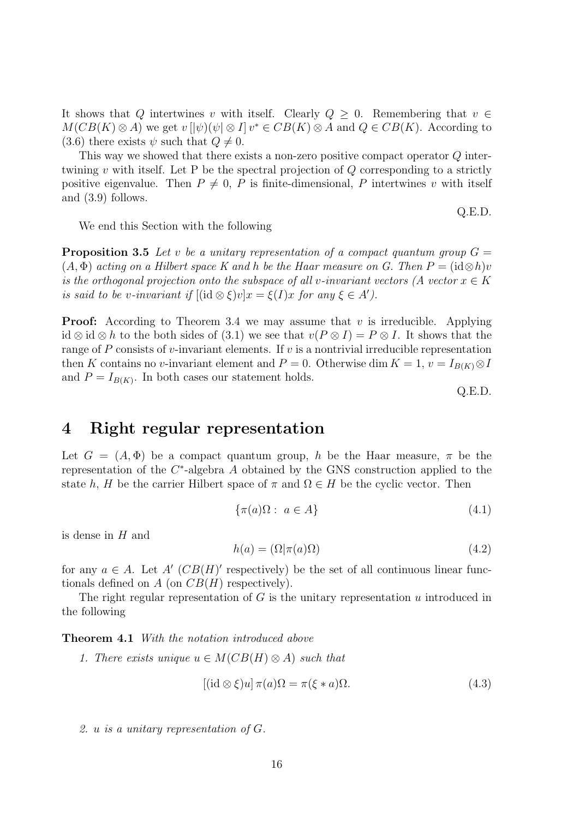It shows that Q intertwines v with itself. Clearly  $Q \geq 0$ . Remembering that  $v \in$  $M(CB(K) \otimes A)$  we get  $v \, [\,] \psi \, ] \, (\psi \,] \otimes I \,] \, v^* \in CB(K) \otimes A$  and  $Q \in CB(K)$ . According to (3.6) there exists  $\psi$  such that  $Q \neq 0$ .

This way we showed that there exists a non-zero positive compact operator Q intertwining v with itself. Let P be the spectral projection of  $Q$  corresponding to a strictly positive eigenvalue. Then  $P \neq 0$ , P is finite-dimensional, P intertwines v with itself and (3.9) follows.

We end this Section with the following

**Proposition 3.5** Let v be a unitary representation of a compact quantum group  $G =$  $(A, \Phi)$  acting on a Hilbert space K and h be the Haar measure on G. Then  $P = (\mathrm{id} \otimes h)v$ is the orthogonal projection onto the subspace of all v-invariant vectors (A vector  $x \in K$ is said to be v-invariant if  $[(id \otimes \xi)v]x = \xi(I)x$  for any  $\xi \in A'$ .

**Proof:** According to Theorem 3.4 we may assume that v is irreducible. Applying id ⊗ id ⊗ h to the both sides of (3.1) we see that  $v(P \otimes I) = P \otimes I$ . It shows that the range of P consists of v-invariant elements. If v is a nontrivial irreducible representation then K contains no v-invariant element and  $P = 0$ . Otherwise dim  $K = 1$ ,  $v = I_{B(K)} \otimes I$ and  $P = I_{B(K)}$ . In both cases our statement holds.

Q.E.D.

Q.E.D.

### 4 Right regular representation

Let  $G = (A, \Phi)$  be a compact quantum group, h be the Haar measure,  $\pi$  be the representation of the  $C^*$ -algebra A obtained by the GNS construction applied to the state h, H be the carrier Hilbert space of  $\pi$  and  $\Omega \in H$  be the cyclic vector. Then

$$
\{\pi(a)\Omega : a \in A\} \tag{4.1}
$$

is dense in  $H$  and

$$
h(a) = (\Omega | \pi(a)\Omega) \tag{4.2}
$$

for any  $a \in A$ . Let  $A'$  (CB(H)' respectively) be the set of all continuous linear functionals defined on  $A$  (on  $CB(H)$  respectively).

The right regular representation of  $G$  is the unitary representation  $u$  introduced in the following

Theorem 4.1 With the notation introduced above

1. There exists unique  $u \in M(CB(H) \otimes A)$  such that

$$
[(id \otimes \xi)u] \pi(a)\Omega = \pi(\xi * a)\Omega.
$$
 (4.3)

2. u is a unitary representation of G.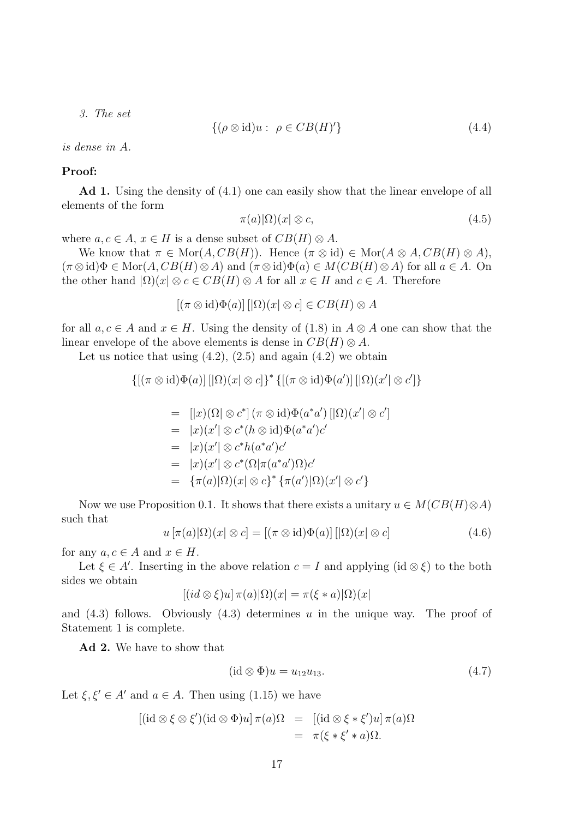3. The set

$$
\{(\rho \otimes id)u: \ \rho \in CB(H)'\}\tag{4.4}
$$

is dense in A.

#### Proof:

Ad 1. Using the density of (4.1) one can easily show that the linear envelope of all elements of the form

$$
\pi(a)|\Omega\rangle(x|\otimes c,\tag{4.5}
$$

where  $a, c \in A$ ,  $x \in H$  is a dense subset of  $CB(H) \otimes A$ .

We know that  $\pi \in \text{Mor}(A, CB(H))$ . Hence  $(\pi \otimes id) \in \text{Mor}(A \otimes A, CB(H) \otimes A)$ ,  $(\pi \otimes id)\Phi \in \text{Mor}(A, CB(H) \otimes A)$  and  $(\pi \otimes id)\Phi(a) \in M(CB(H) \otimes A)$  for all  $a \in A$ . On the other hand  $|\Omega)(x| \otimes c \in CB(H) \otimes A$  for all  $x \in H$  and  $c \in A$ . Therefore

 $[(\pi \otimes id)\Phi(a)][\Omega](x) \otimes c] \in CB(H) \otimes A$ 

for all  $a, c \in A$  and  $x \in H$ . Using the density of (1.8) in  $A \otimes A$  one can show that the linear envelope of the above elements is dense in  $CB(H) \otimes A$ .

Let us notice that using  $(4.2)$ ,  $(2.5)$  and again  $(4.2)$  we obtain

$$
\{ [(\pi \otimes id)\Phi(a)] \left[ \left| \Omega \right) (x \right| \otimes c] \}^* \{ [(\pi \otimes id)\Phi(a')] \left[ \left| \Omega \right) (x' \right| \otimes c'] \}
$$

$$
= [|x)(\Omega| \otimes c^*] (\pi \otimes id) \Phi(a^*a') [|\Omega)(x'| \otimes c']
$$
  
\n
$$
= |x)(x'| \otimes c^* (h \otimes id) \Phi(a^*a')c'
$$
  
\n
$$
= |x)(x'| \otimes c^*h(a^*a')c'
$$
  
\n
$$
= |x)(x'| \otimes c^* (\Omega | \pi(a^*a')\Omega)c'
$$
  
\n
$$
= {\pi(a) |\Omega)(x| \otimes c}^* {\pi(a') |\Omega)(x' | \otimes c' }
$$

Now we use Proposition 0.1. It shows that there exists a unitary  $u \in M(CB(H) \otimes A)$ such that

$$
u\left[\pi(a)|\Omega\right)(x|\otimes c] = \left[(\pi \otimes id)\Phi(a)\right] \left[|\Omega\right)(x|\otimes c\right] \tag{4.6}
$$

for any  $a, c \in A$  and  $x \in H$ .

Let  $\xi \in A'$ . Inserting in the above relation  $c = I$  and applying  $(id \otimes \xi)$  to the both sides we obtain

$$
[(id \otimes \xi)u] \pi(a)|\Omega)(x| = \pi(\xi * a)|\Omega)(x|
$$

and  $(4.3)$  follows. Obviously  $(4.3)$  determines u in the unique way. The proof of Statement 1 is complete.

Ad 2. We have to show that

$$
(\mathrm{id} \otimes \Phi)u = u_{12}u_{13}.\tag{4.7}
$$

Let  $\xi, \xi' \in A'$  and  $a \in A$ . Then using (1.15) we have

$$
[(\mathrm{id}\otimes\xi\otimes\xi')(\mathrm{id}\otimes\Phi)u]\pi(a)\Omega = [(\mathrm{id}\otimes\xi*\xi')u]\pi(a)\Omega
$$
  
=  $\pi(\xi*\xi'*a)\Omega.$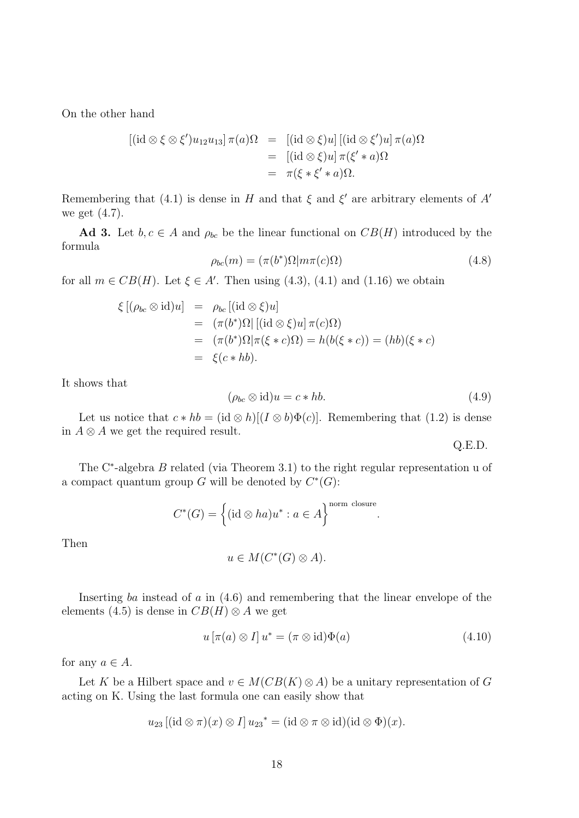On the other hand

$$
[(id \otimes \xi \otimes \xi')u_{12}u_{13}]\pi(a)\Omega = [ (id \otimes \xi)u] [ (id \otimes \xi')u]\pi(a)\Omega
$$
  
= 
$$
[(id \otimes \xi)u]\pi(\xi'*a)\Omega
$$
  
= 
$$
\pi(\xi*\xi'*a)\Omega.
$$

Remembering that (4.1) is dense in H and that  $\xi$  and  $\xi'$  are arbitrary elements of A' we get (4.7).

Ad 3. Let  $b, c \in A$  and  $\rho_{bc}$  be the linear functional on  $CB(H)$  introduced by the formula

$$
\rho_{bc}(m) = (\pi(b^*)\Omega|m\pi(c)\Omega) \tag{4.8}
$$

for all  $m \in CB(H)$ . Let  $\xi \in A'$ . Then using (4.3), (4.1) and (1.16) we obtain

$$
\xi [(\rho_{bc} \otimes id)u] = \rho_{bc} [(\mathrm{id} \otimes \xi)u]
$$
  
=  $(\pi(b^*)\Omega | [(\mathrm{id} \otimes \xi)u] \pi(c)\Omega)$   
=  $(\pi(b^*)\Omega | \pi(\xi * c)\Omega) = h(b(\xi * c)) = (hb)(\xi * c)$   
=  $\xi(c * hb).$ 

It shows that

$$
(\rho_{bc} \otimes id)u = c * hb.
$$
\n(4.9)

.

Let us notice that  $c * hb = (id \otimes h)[(I \otimes b)\Phi(c)]$ . Remembering that (1.2) is dense in  $A \otimes A$  we get the required result.

Q.E.D.

The C<sup>∗</sup>-algebra *B* related (via Theorem 3.1) to the right regular representation u of a compact quantum group G will be denoted by  $C^*(G)$ :

$$
C^*(G) = \left\{ (\mathrm{id} \otimes ha)u^* : a \in A \right\}^{\text{norm closure}}
$$

Then

 $u \in M(C^*(G) \otimes A).$ 

Inserting ba instead of  $a$  in  $(4.6)$  and remembering that the linear envelope of the elements (4.5) is dense in  $CB(H) \otimes A$  we get

$$
u\left[\pi(a)\otimes I\right]u^* = \left(\pi\otimes\mathrm{id}\right)\Phi(a) \tag{4.10}
$$

for any  $a \in A$ .

Let K be a Hilbert space and  $v \in M(CB(K) \otimes A)$  be a unitary representation of G acting on K. Using the last formula one can easily show that

$$
u_{23}[(\mathrm{id} \otimes \pi)(x) \otimes I] u_{23}^* = (\mathrm{id} \otimes \pi \otimes \mathrm{id})(\mathrm{id} \otimes \Phi)(x).
$$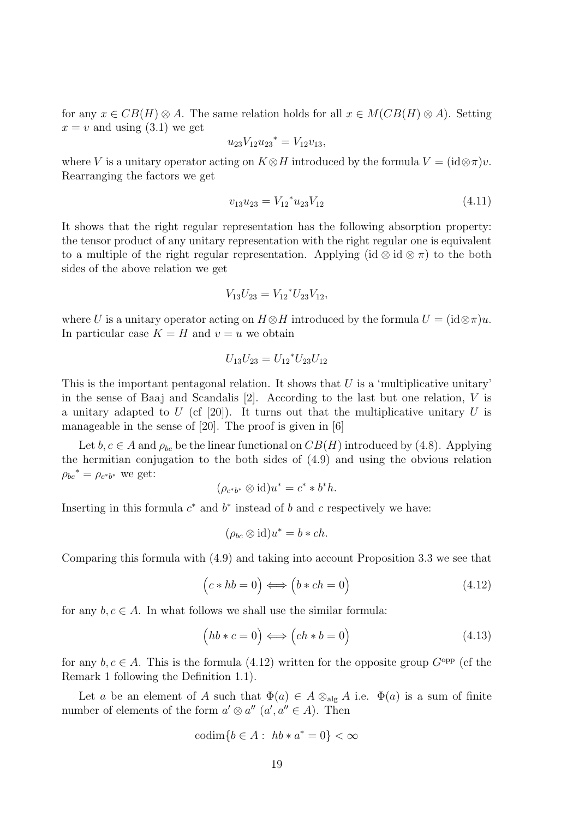for any  $x \in CB(H) \otimes A$ . The same relation holds for all  $x \in M(CB(H) \otimes A)$ . Setting  $x = v$  and using (3.1) we get

$$
u_{23}V_{12}u_{23}^* = V_{12}v_{13},
$$

where V is a unitary operator acting on  $K \otimes H$  introduced by the formula  $V = (id \otimes \pi)v$ . Rearranging the factors we get

$$
v_{13}u_{23} = V_{12}^* u_{23} V_{12}
$$
\n(4.11)

It shows that the right regular representation has the following absorption property: the tensor product of any unitary representation with the right regular one is equivalent to a multiple of the right regular representation. Applying  $(id \otimes id \otimes \pi)$  to the both sides of the above relation we get

$$
V_{13}U_{23} = V_{12}^* U_{23} V_{12},
$$

where U is a unitary operator acting on  $H \otimes H$  introduced by the formula  $U = (id \otimes \pi)u$ . In particular case  $K = H$  and  $v = u$  we obtain

$$
U_{13}U_{23} = U_{12}^* U_{23} U_{12}
$$

This is the important pentagonal relation. It shows that  $U$  is a 'multiplicative unitary' in the sense of Baaj and Scandalis [2]. According to the last but one relation, V is a unitary adapted to U (cf [20]). It turns out that the multiplicative unitary U is manageable in the sense of [20]. The proof is given in [6]

Let  $b, c \in A$  and  $\rho_{bc}$  be the linear functional on  $CB(H)$  introduced by (4.8). Applying the hermitian conjugation to the both sides of (4.9) and using the obvious relation  $\rho_{bc}^* = \rho_{c^*b^*}$  we get:

$$
(\rho_{c^*b^*} \otimes \mathrm{id})u^* = c^* * b^*h.
$$

Inserting in this formula  $c^*$  and  $b^*$  instead of b and c respectively we have:

$$
(\rho_{bc}\otimes \mathrm{id})u^* = b * ch.
$$

Comparing this formula with (4.9) and taking into account Proposition 3.3 we see that

$$
(c * hb = 0) \iff (b * ch = 0)
$$
\n(4.12)

for any  $b, c \in A$ . In what follows we shall use the similar formula:

$$
(hb * c = 0) \Longleftrightarrow (ch * b = 0)
$$
\n(4.13)

for any  $b, c \in A$ . This is the formula (4.12) written for the opposite group  $G^{\text{opp}}$  (cf the Remark 1 following the Definition 1.1).

Let a be an element of A such that  $\Phi(a) \in A \otimes_{\text{alg}} A$  i.e.  $\Phi(a)$  is a sum of finite number of elements of the form  $a' \otimes a''$   $(a', a'' \in A)$ . Then

$$
\operatorname{codim}\{b \in A : \ h b * a^* = 0\} < \infty
$$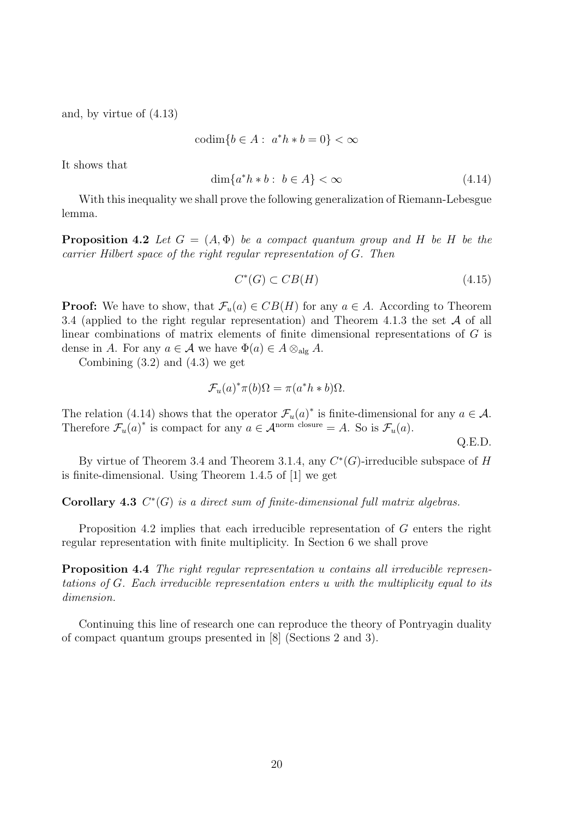and, by virtue of (4.13)

$$
\operatorname{codim}\{b \in A : a^*h * b = 0\} < \infty
$$

It shows that

$$
\dim\{a^*h*b:\ b\in A\} < \infty\tag{4.14}
$$

With this inequality we shall prove the following generalization of Riemann-Lebesgue lemma.

**Proposition 4.2** Let  $G = (A, \Phi)$  be a compact quantum group and H be H be the carrier Hilbert space of the right regular representation of G. Then

$$
C^*(G) \subset CB(H) \tag{4.15}
$$

**Proof:** We have to show, that  $\mathcal{F}_u(a) \in CB(H)$  for any  $a \in A$ . According to Theorem 3.4 (applied to the right regular representation) and Theorem 4.1.3 the set  $\mathcal A$  of all linear combinations of matrix elements of finite dimensional representations of G is dense in A. For any  $a \in \mathcal{A}$  we have  $\Phi(a) \in A \otimes_{\text{alg}} A$ .

Combining  $(3.2)$  and  $(4.3)$  we get

$$
\mathcal{F}_u(a)^*\pi(b)\Omega = \pi(a^*h * b)\Omega.
$$

The relation (4.14) shows that the operator  $\mathcal{F}_u(a)^*$  is finite-dimensional for any  $a \in \mathcal{A}$ . Therefore  $\mathcal{F}_u(a)^*$  is compact for any  $a \in \mathcal{A}^{\text{norm}}$  closure = A. So is  $\mathcal{F}_u(a)$ .

Q.E.D.

By virtue of Theorem 3.4 and Theorem 3.1.4, any  $C^*(G)$ -irreducible subspace of H is finite-dimensional. Using Theorem 1.4.5 of [1] we get

Corollary 4.3  $C^*(G)$  is a direct sum of finite-dimensional full matrix algebras.

Proposition 4.2 implies that each irreducible representation of G enters the right regular representation with finite multiplicity. In Section 6 we shall prove

**Proposition 4.4** The right regular representation u contains all irreducible representations of G. Each irreducible representation enters u with the multiplicity equal to its dimension.

Continuing this line of research one can reproduce the theory of Pontryagin duality of compact quantum groups presented in [8] (Sections 2 and 3).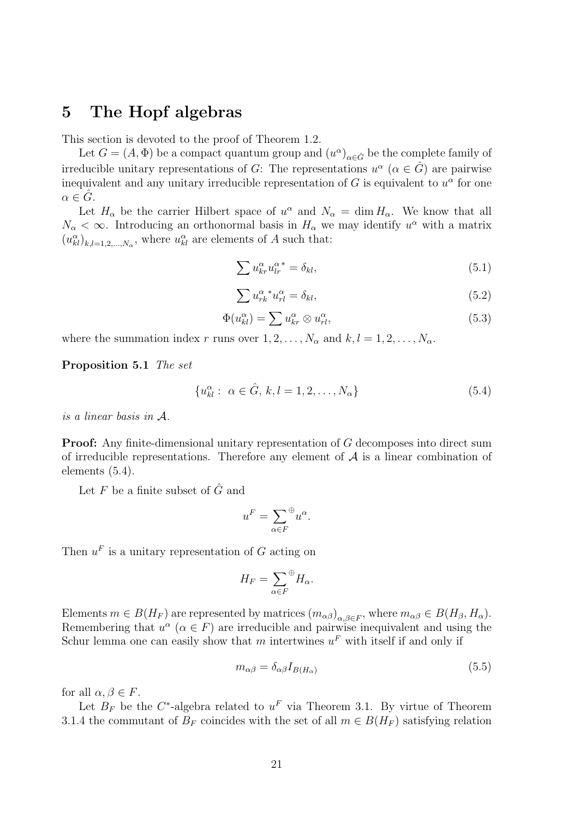### 5 The Hopf algebras

This section is devoted to the proof of Theorem 1.2.

Let  $G = (A, \Phi)$  be a compact quantum group and  $(u^{\alpha})_{\alpha \in \hat{G}}$  be the complete family of irreducible unitary representations of G: The representations  $u^{\alpha}$   $(\alpha \in \hat{G})$  are pairwise inequivalent and any unitary irreducible representation of G is equivalent to  $u^{\alpha}$  for one  $\alpha \in G$ .

Let  $H_{\alpha}$  be the carrier Hilbert space of  $u^{\alpha}$  and  $N_{\alpha} = \dim H_{\alpha}$ . We know that all  $N_{\alpha} < \infty$ . Introducing an orthonormal basis in  $H_{\alpha}$  we may identify  $u^{\alpha}$  with a matrix  $(u_{kl}^{\alpha})_{k,l=1,2,\ldots,N_{\alpha}}$ , where  $u_{kl}^{\alpha}$  are elements of A such that:

$$
\sum u_{kr}^{\alpha} u_{lr}^{\alpha}{}^* = \delta_{kl},\tag{5.1}
$$

$$
\sum u_{rk}^{\alpha} u_{rl}^{\alpha} = \delta_{kl},\tag{5.2}
$$

$$
\Phi(u_{kl}^{\alpha}) = \sum u_{kr}^{\alpha} \otimes u_{rl}^{\alpha},\tag{5.3}
$$

where the summation index r runs over  $1, 2, \ldots, N_{\alpha}$  and  $k, l = 1, 2, \ldots, N_{\alpha}$ .

Proposition 5.1 The set

$$
\{u_{kl}^{\alpha} : \ \alpha \in \hat{G}, \, k, l = 1, 2, \dots, N_{\alpha}\}\tag{5.4}
$$

is a linear basis in A.

**Proof:** Any finite-dimensional unitary representation of G decomposes into direct sum of irreducible representations. Therefore any element of  $A$  is a linear combination of elements (5.4).

Let  $F$  be a finite subset of  $\hat{G}$  and

$$
u^F = \sum_{\alpha \in F} \mathcal{L} u^{\alpha}.
$$

Then  $u^F$  is a unitary representation of G acting on

$$
H_F = \sum_{\alpha \in F} \, \oplus H_\alpha.
$$

Elements  $m \in B(H_F)$  are represented by matrices  $(m_{\alpha\beta})_{\alpha,\beta\in F}$ , where  $m_{\alpha\beta} \in B(H_\beta, H_\alpha)$ . Remembering that  $u^{\alpha}$  ( $\alpha \in F$ ) are irreducible and pairwise inequivalent and using the Schur lemma one can easily show that m intertwines  $u^F$  with itself if and only if

$$
m_{\alpha\beta} = \delta_{\alpha\beta} I_{B(H_{\alpha})}
$$
\n(5.5)

for all  $\alpha, \beta \in F$ .

Let  $B_F$  be the C<sup>\*</sup>-algebra related to  $u^F$  via Theorem 3.1. By virtue of Theorem 3.1.4 the commutant of  $B_F$  coincides with the set of all  $m \in B(H_F)$  satisfying relation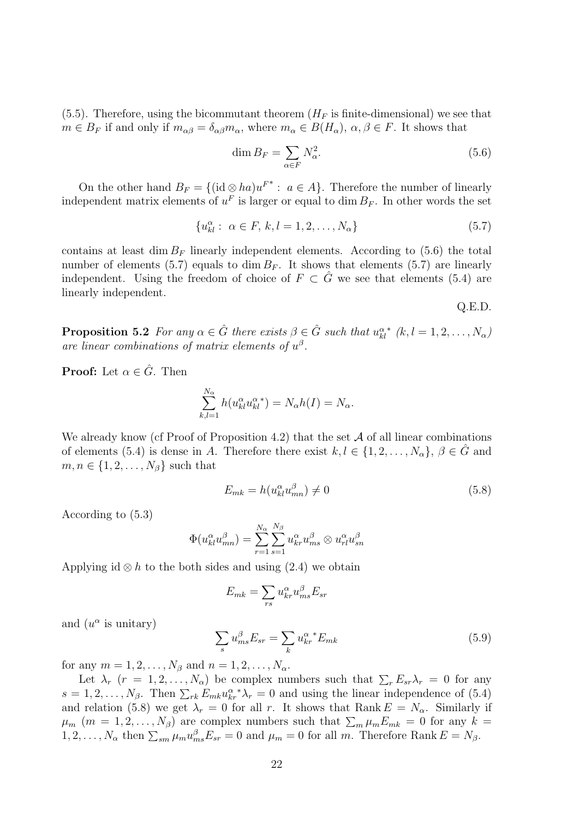$(5.5)$ . Therefore, using the bicommutant theorem  $(H_F)$  is finite-dimensional) we see that  $m \in B_F$  if and only if  $m_{\alpha\beta} = \delta_{\alpha\beta} m_\alpha$ , where  $m_\alpha \in B(H_\alpha)$ ,  $\alpha, \beta \in F$ . It shows that

$$
\dim B_F = \sum_{\alpha \in F} N_{\alpha}^2. \tag{5.6}
$$

On the other hand  $B_F = \{(\text{id} \otimes ha)u^{F^*} : a \in A\}$ . Therefore the number of linearly independent matrix elements of  $u^F$  is larger or equal to dim  $B_F$ . In other words the set

$$
\{u_{kl}^{\alpha} : \ \alpha \in F, \ k, l = 1, 2, \dots, N_{\alpha}\}\
$$
\n(5.7)

contains at least dim  $B_F$  linearly independent elements. According to (5.6) the total number of elements (5.7) equals to dim  $B_F$ . It shows that elements (5.7) are linearly independent. Using the freedom of choice of  $F \subset G$  we see that elements (5.4) are linearly independent.

Q.E.D.

**Proposition 5.2** For any  $\alpha \in \hat{G}$  there exists  $\beta \in \hat{G}$  such that  $u_{kl}^{\alpha}$ \*  $(k, l = 1, 2, \ldots, N_{\alpha})$ are linear combinations of matrix elements of  $u^{\beta}$ .

**Proof:** Let  $\alpha \in \hat{G}$ . Then

$$
\sum_{k,l=1}^{N_{\alpha}} h(u_{kl}^{\alpha} u_{kl}^{\alpha}) = N_{\alpha} h(I) = N_{\alpha}.
$$

We already know (cf Proof of Proposition 4.2) that the set  $A$  of all linear combinations of elements (5.4) is dense in A. Therefore there exist  $k, l \in \{1, 2, ..., N_{\alpha}\}, \beta \in \hat{G}$  and  $m, n \in \{1, 2, \ldots, N_\beta\}$  such that

$$
E_{mk} = h(u_{kl}^{\alpha} u_{mn}^{\beta}) \neq 0
$$
\n
$$
(5.8)
$$

According to (5.3)

$$
\Phi(u_{kl}^{\alpha}u_{mn}^{\beta}) = \sum_{r=1}^{N_{\alpha}} \sum_{s=1}^{N_{\beta}} u_{kr}^{\alpha}u_{ms}^{\beta} \otimes u_{rl}^{\alpha}u_{sn}^{\beta}
$$

Applying id  $\otimes h$  to the both sides and using (2.4) we obtain

$$
E_{mk} = \sum_{rs} u_{kr}^{\alpha} u_{ms}^{\beta} E_{sr}
$$

and  $(u^{\alpha}$  is unitary)

$$
\sum_{s} u_{ms}^{\beta} E_{sr} = \sum_{k} u_{kr}^{\alpha}^* E_{mk} \tag{5.9}
$$

for any  $m = 1, 2, ..., N_{\beta}$  and  $n = 1, 2, ..., N_{\alpha}$ .

Let  $\lambda_r$   $(r = 1, 2, ..., N_\alpha)$  be complex numbers such that  $\sum_r E_{sr} \lambda_r = 0$  for any  $s = 1, 2, \ldots, N_\beta$ . Then  $\sum_{rk} E_{mk} u_{kr}^\alpha * \lambda_r = 0$  and using the linear independence of (5.4) and relation (5.8) we get  $\lambda_r = 0$  for all r. It shows that Rank  $E = N_\alpha$ . Similarly if  $\mu_m$  (m = 1, 2, ..., N<sub>β</sub>) are complex numbers such that  $\sum_m \mu_m E_{mk} = 0$  for any  $k =$  $1, 2, \ldots, N_{\alpha}$  then  $\sum_{sm} \mu_m u_{ms}^{\beta} E_{sr} = 0$  and  $\mu_m = 0$  for all m. Therefore Rank  $E = N_{\beta}$ .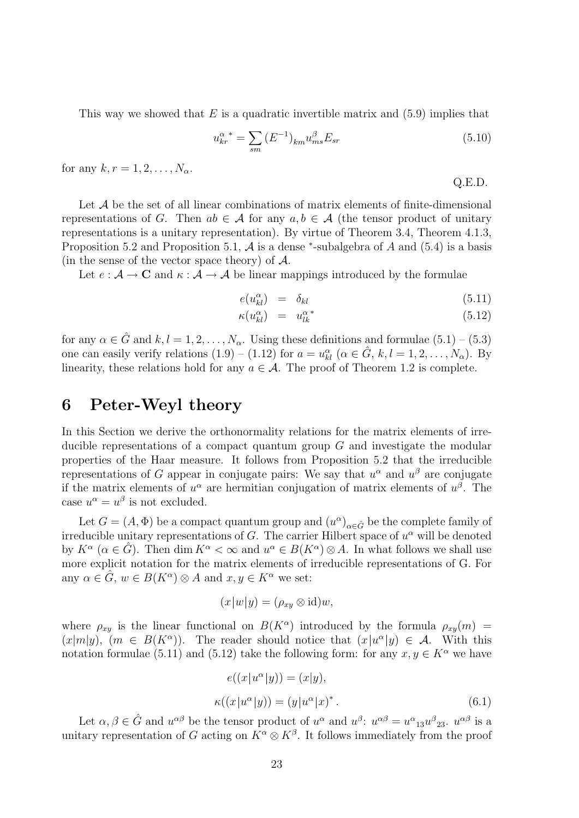This way we showed that E is a quadratic invertible matrix and  $(5.9)$  implies that

$$
u_{kr}^{\alpha} = \sum_{sm} (E^{-1})_{km} u_{ms}^{\beta} E_{sr}
$$
 (5.10)

for any  $k, r = 1, 2, ..., N_{\alpha}$ .

Q.E.D.

Let  $A$  be the set of all linear combinations of matrix elements of finite-dimensional representations of G. Then  $ab \in \mathcal{A}$  for any  $a, b \in \mathcal{A}$  (the tensor product of unitary representations is a unitary representation). By virtue of Theorem 3.4, Theorem 4.1.3, Proposition 5.2 and Proposition 5.1,  $A$  is a dense  $*$ -subalgebra of  $A$  and  $(5.4)$  is a basis (in the sense of the vector space theory) of  $A$ .

Let  $e : \mathcal{A} \to \mathbf{C}$  and  $\kappa : \mathcal{A} \to \mathcal{A}$  be linear mappings introduced by the formulae

$$
e(u_{kl}^{\alpha}) = \delta_{kl} \tag{5.11}
$$

$$
\kappa(u_{kl}^{\alpha}) = u_{lk}^{\alpha *}
$$
\n(5.12)

for any  $\alpha \in \hat{G}$  and  $k, l = 1, 2, ..., N_{\alpha}$ . Using these definitions and formulae  $(5.1)$  –  $(5.3)$ one can easily verify relations  $(1.9) - (1.12)$  for  $a = u_{kl}^{\alpha}$   $(\alpha \in \hat{G}, k, l = 1, 2, \ldots, N_{\alpha})$ . By linearity, these relations hold for any  $a \in \mathcal{A}$ . The proof of Theorem 1.2 is complete.

# 6 Peter-Weyl theory

In this Section we derive the orthonormality relations for the matrix elements of irreducible representations of a compact quantum group  $G$  and investigate the modular properties of the Haar measure. It follows from Proposition 5.2 that the irreducible representations of G appear in conjugate pairs: We say that  $u^{\alpha}$  and  $u^{\beta}$  are conjugate if the matrix elements of  $u^{\alpha}$  are hermitian conjugation of matrix elements of  $u^{\beta}$ . The case  $u^{\alpha} = u^{\beta}$  is not excluded.

Let  $G = (A, \Phi)$  be a compact quantum group and  $(u^{\alpha})_{\alpha \in \hat{G}}$  be the complete family of irreducible unitary representations of G. The carrier Hilbert space of  $u^{\alpha}$  will be denoted by  $K^{\alpha}$  ( $\alpha \in \hat{G}$ ). Then dim  $K^{\alpha} < \infty$  and  $u^{\alpha} \in B(K^{\alpha}) \otimes A$ . In what follows we shall use more explicit notation for the matrix elements of irreducible representations of G. For any  $\alpha \in \hat{G}$ ,  $w \in B(K^{\alpha}) \otimes A$  and  $x, y \in K^{\alpha}$  we set:

$$
(x|w|y) = (\rho_{xy} \otimes id)w,
$$

where  $\rho_{xy}$  is the linear functional on  $B(K^{\alpha})$  introduced by the formula  $\rho_{xy}(m)$  =  $(x|m|y)$ ,  $(m \in B(K^{\alpha}))$ . The reader should notice that  $(x|u^{\alpha}|y) \in \mathcal{A}$ . With this notation formulae (5.11) and (5.12) take the following form: for any  $x, y \in K^{\alpha}$  we have

$$
e((x|u^{\alpha}|y)) = (x|y),
$$
  

$$
\kappa((x|u^{\alpha}|y)) = (y|u^{\alpha}|x)^*.
$$
 (6.1)

Let  $\alpha, \beta \in \hat{G}$  and  $u^{\alpha\beta}$  be the tensor product of  $u^{\alpha}$  and  $u^{\beta}$ :  $u^{\alpha\beta} = u^{\alpha}{}_{13}u^{\beta}{}_{23}$ .  $u^{\alpha\beta}$  is a unitary representation of G acting on  $K^{\alpha} \otimes K^{\beta}$ . It follows immediately from the proof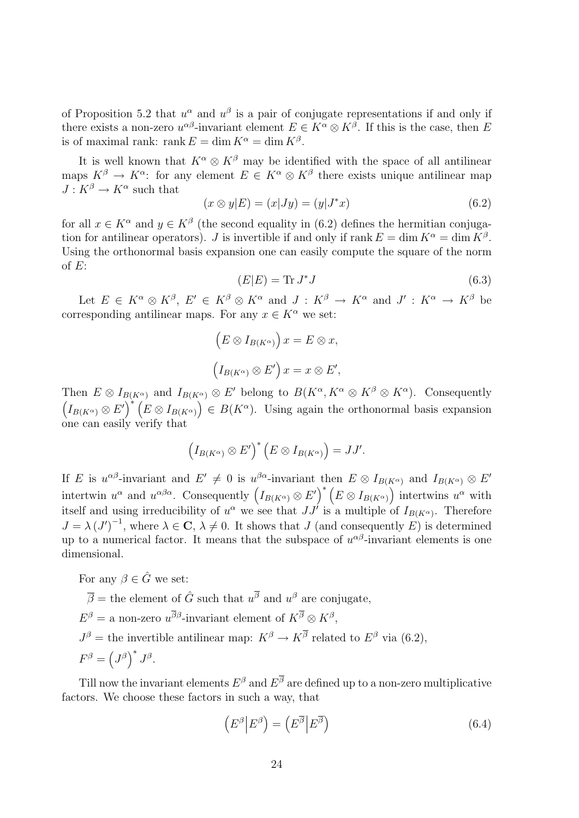of Proposition 5.2 that  $u^{\alpha}$  and  $u^{\beta}$  is a pair of conjugate representations if and only if there exists a non-zero  $u^{\alpha\beta}$ -invariant element  $E \in K^{\alpha} \otimes K^{\beta}$ . If this is the case, then E is of maximal rank: rank  $E = \dim K^{\alpha} = \dim K^{\beta}$ .

It is well known that  $K^{\alpha} \otimes K^{\beta}$  may be identified with the space of all antilinear maps  $K^{\beta} \to K^{\alpha}$ : for any element  $E \in K^{\alpha} \otimes K^{\beta}$  there exists unique antilinear map  $J: K^{\beta} \to K^{\alpha}$  such that

$$
(x \otimes y|E) = (x|Jy) = (y|J^*x)
$$
\n(6.2)

for all  $x \in K^{\alpha}$  and  $y \in K^{\beta}$  (the second equality in (6.2) defines the hermitian conjugation for antilinear operators). J is invertible if and only if rank  $E = \dim K^{\alpha} = \dim K^{\beta}$ . Using the orthonormal basis expansion one can easily compute the square of the norm of  $E$ :

$$
(E|E) = \text{Tr } J^*J \tag{6.3}
$$

Let  $E \in K^{\alpha} \otimes K^{\beta}$ ,  $E' \in K^{\beta} \otimes K^{\alpha}$  and  $J : K^{\beta} \to K^{\alpha}$  and  $J' : K^{\alpha} \to K^{\beta}$  be corresponding antilinear maps. For any  $x \in K^{\alpha}$  we set:

$$
(E \otimes I_{B(K^{\alpha})}) x = E \otimes x,
$$
  

$$
(I_{B(K^{\alpha})} \otimes E') x = x \otimes E',
$$

Then  $E \otimes I_{B(K^{\alpha})}$  and  $I_{B(K^{\alpha})} \otimes E'$  belong to  $B(K^{\alpha}, K^{\alpha} \otimes K^{\beta} \otimes K^{\alpha})$ . Consequently  $(I_{B(K^{\alpha})}\otimes E')^*$   $(E\otimes I_{B(K^{\alpha})})\in B(K^{\alpha})$ . Using again the orthonormal basis expansion one can easily verify that

$$
\left(I_{B(K^{\alpha})}\otimes E'\right)^{*}\left(E\otimes I_{B(K^{\alpha})}\right)=JJ'.
$$

If E is  $u^{\alpha\beta}$ -invariant and  $E' \neq 0$  is  $u^{\beta\alpha}$ -invariant then  $E \otimes I_{B(K^{\alpha})}$  and  $I_{B(K^{\alpha})} \otimes E'$ intertwin  $u^{\alpha}$  and  $u^{\alpha\beta\alpha}$ . Consequently  $(I_{B(K^{\alpha})}\otimes E')^*\left(E\otimes I_{B(K^{\alpha})}\right)$  intertwins  $u^{\alpha}$  with itself and using irreducibility of  $u^{\alpha}$  we see that  $JJ'$  is a multiple of  $I_{B(K^{\alpha})}$ . Therefore  $J = \lambda (J')^{-1}$ , where  $\lambda \in \mathbb{C}$ ,  $\lambda \neq 0$ . It shows that J (and consequently E) is determined up to a numerical factor. It means that the subspace of  $u^{\alpha\beta}$ -invariant elements is one dimensional.

For any  $\beta \in \hat{G}$  we set:

 $\overline{\beta}$  = the element of  $\hat{G}$  such that  $u^{\overline{\beta}}$  and  $u^{\beta}$  are conjugate,  $E^{\beta} =$  a non-zero  $u^{\overline{\beta}\beta}$ -invariant element of  $K^{\overline{\beta}} \otimes K^{\beta}$ ,  $J^{\beta}$  = the invertible antilinear map:  $K^{\beta} \rightarrow K^{\overline{\beta}}$  related to  $E^{\beta}$  via (6.2),  $F^{\beta} = (J^{\beta})^* J^{\beta}.$ 

Till now the invariant elements  $E^{\beta}$  and  $E^{\beta}$  are defined up to a non-zero multiplicative factors. We choose these factors in such a way, that

$$
\left(E^{\beta}\middle|E^{\beta}\right) = \left(E^{\overline{\beta}}\middle|E^{\overline{\beta}}\right) \tag{6.4}
$$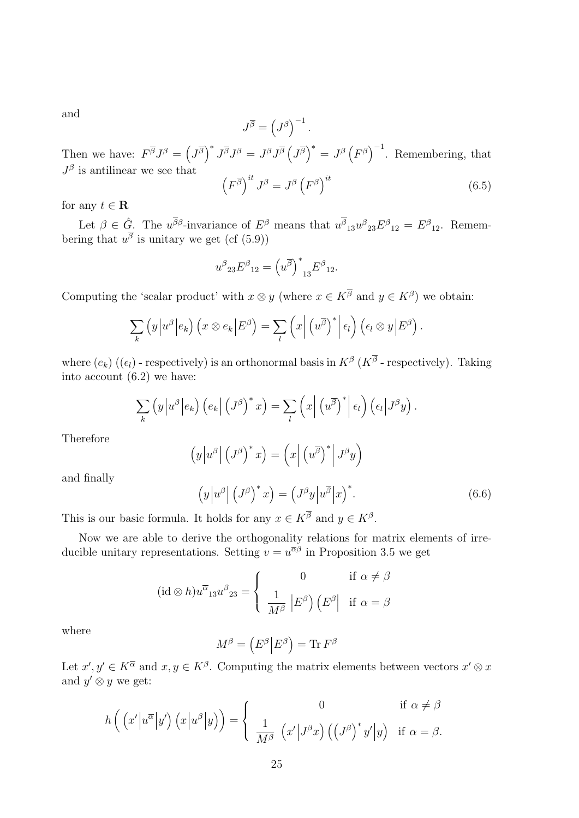and

$$
J^{\overline{\beta}} = \left( J^{\beta} \right)^{-1}.
$$

Then we have:  $F^{\overline{\beta}}J^{\beta} = (J^{\overline{\beta}})^* J^{\overline{\beta}}J^{\beta} = J^{\beta}J^{\overline{\beta}} (J^{\overline{\beta}})^* = J^{\beta} (F^{\beta})^{-1}$ . Remembering, that  $J^{\beta}$  is antilinear we see that  $(F^{\overline{\beta}})^{it} J^{\beta} = J^{\beta} (F^{\beta})$  $i<sup>it</sup>$  (6.5)

for any  $t \in \mathbf{R}$ 

Let  $\beta \in \hat{G}$ . The  $u^{\overline{\beta}\beta}$ -invariance of  $E^{\beta}$  means that  $u^{\overline{\beta}}_{13}u^{\beta}{}_{23}E^{\beta}{}_{12} = E^{\beta}{}_{12}$ . Remembering that  $u^{\beta}$  is unitary we get (cf (5.9))

$$
u^{\beta}{}_{23}E^{\beta}{}_{12}=\left(u^{\overline{\beta}}\right)^{*}{}_{13}E^{\beta}{}_{12}.
$$

Computing the 'scalar product' with  $x \otimes y$  (where  $x \in K^{\overline{\beta}}$  and  $y \in K^{\beta}$ ) we obtain:

$$
\sum_{k} (y |u^{\beta}| e_{k}) (x \otimes e_{k} |E^{\beta}) = \sum_{l} (x | (u^{\overline{\beta}})^{*} | \epsilon_{l}) ( \epsilon_{l} \otimes y | E^{\beta}).
$$

where  $(e_k)$  ( $(\epsilon_l)$  - respectively) is an orthonormal basis in  $K^{\beta}$  ( $K^{\beta}$  - respectively). Taking into account (6.2) we have:

$$
\sum_{k} (y|u^{\beta}|e_{k}) (e_{k}| (J^{\beta})^{*} x) = \sum_{l} (x| (u^{\overline{\beta}})^{*}|e_{l}) (e_{l}|J^{\beta} y).
$$

Therefore

$$
\left(y\left|u^{\beta}\right| \left(J^{\beta}\right)^{*} x\right) = \left(x\left| \left(u^{\overline{\beta}}\right)^{*}\right| J^{\beta} y\right)
$$

and finally

$$
\left(y\left|u^{\beta}\right| \left(J^{\beta}\right)^{*} x\right) = \left(J^{\beta} y\left|u^{\overline{\beta}}\right| x\right)^{*}.
$$
\n(6.6)

This is our basic formula. It holds for any  $x \in K^{\overline{\beta}}$  and  $y \in K^{\beta}$ .

Now we are able to derive the orthogonality relations for matrix elements of irreducible unitary representations. Setting  $v = u^{\overline{\alpha}\beta}$  in Proposition 3.5 we get

$$
(\mathrm{id} \otimes h)u^{\overline{\alpha}}{}_{13}u^{\beta}{}_{23} = \begin{cases} 0 & \text{if } \alpha \neq \beta \\ \frac{1}{M^{\beta}} \left| E^{\beta} \right| \left( E^{\beta} \right) & \text{if } \alpha = \beta \end{cases}
$$

where

$$
M^{\beta} = \left( E^{\beta} \middle| E^{\beta} \right) = \text{Tr} F^{\beta}
$$

Let  $x', y' \in K^{\overline{\alpha}}$  and  $x, y \in K^{\beta}$ . Computing the matrix elements between vectors  $x' \otimes x$ and  $y' \otimes y$  we get:

$$
h\left(\left(x'|u^{\overline{\alpha}}|y'\right)\left(x|u^{\beta}|y\right)\right) = \begin{cases} 0 & \text{if } \alpha \neq \beta \\ \frac{1}{M^{\beta}} \left(x'|J^{\beta}x\right)\left(\left(J^{\beta}\right)^{*}y'|y\right) & \text{if } \alpha = \beta. \end{cases}
$$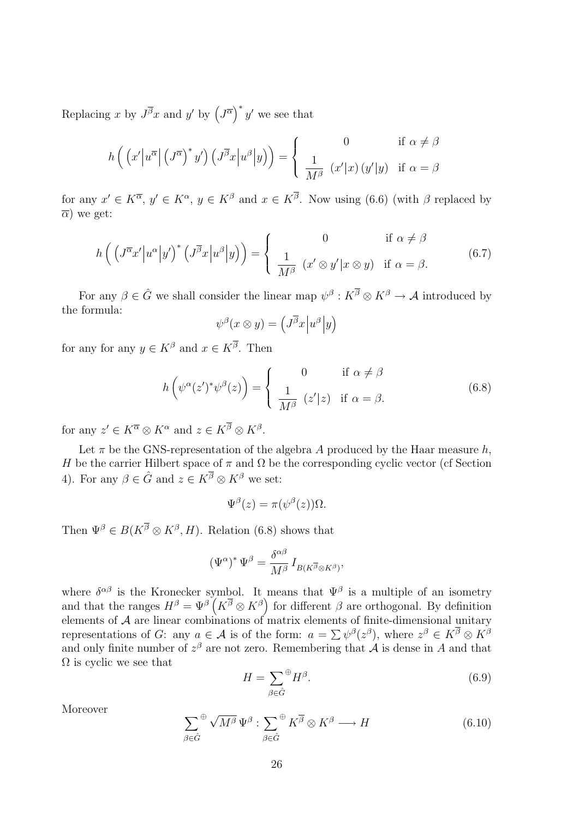Replacing x by  $J^{\overline{\beta}}x$  and y' by  $(J^{\overline{\alpha}})^*y'$  we see that

$$
h\left(\left(x'\left|u^{\overline{\alpha}}\right|\left(J^{\overline{\alpha}}\right)^*y'\right)\left(J^{\overline{\beta}}x\left|u^{\beta}\right|y\right)\right) = \begin{cases} 0 & \text{if } \alpha \neq \beta\\ \frac{1}{M^{\beta}} \left(x'\left|x\right\rangle\left(y'\left|y\right)\right) & \text{if } \alpha = \beta \end{cases}
$$

for any  $x' \in K^{\overline{\alpha}}$ ,  $y' \in K^{\alpha}$ ,  $y \in K^{\beta}$  and  $x \in K^{\overline{\beta}}$ . Now using (6.6) (with  $\beta$  replaced by  $\overline{\alpha}$ ) we get:

$$
h\left(\left(J^{\overline{\alpha}}x'|u^{\alpha}|y'\right)^{*}\left(J^{\overline{\beta}}x|u^{\beta}|y\right)\right) = \begin{cases} 0 & \text{if } \alpha \neq \beta\\ \frac{1}{M^{\beta}} \left(x' \otimes y'|x \otimes y\right) & \text{if } \alpha = \beta. \end{cases}
$$
(6.7)

For any  $\beta \in \hat{G}$  we shall consider the linear map  $\psi^{\beta}: K^{\overline{\beta}} \otimes K^{\beta} \to \mathcal{A}$  introduced by the formula:

$$
\psi^{\beta}(x\otimes y) = \left(J^{\overline{\beta}}x\Big|u^{\beta}\Big|y\right)
$$

for any for any  $y \in K^{\beta}$  and  $x \in K^{\overline{\beta}}$ . Then

$$
h\left(\psi^{\alpha}(z')^*\psi^{\beta}(z)\right) = \begin{cases} 0 & \text{if } \alpha \neq \beta\\ \frac{1}{M^{\beta}} (z'|z) & \text{if } \alpha = \beta. \end{cases}
$$
(6.8)

for any  $z' \in K^{\overline{\alpha}} \otimes K^{\alpha}$  and  $z \in K^{\overline{\beta}} \otimes K^{\beta}$ .

Let  $\pi$  be the GNS-representation of the algebra A produced by the Haar measure h, H be the carrier Hilbert space of  $\pi$  and  $\Omega$  be the corresponding cyclic vector (cf Section 4). For any  $\beta \in \hat{G}$  and  $z \in K^{\overline{\beta}} \otimes K^{\beta}$  we set:

$$
\Psi^{\beta}(z) = \pi(\psi^{\beta}(z))\Omega.
$$

Then  $\Psi^{\beta} \in B(K^{\overline{\beta}} \otimes K^{\beta}, H)$ . Relation (6.8) shows that

$$
(\Psi^{\alpha})^* \, \Psi^{\beta} = \frac{\delta^{\alpha \beta}}{M^{\beta}} \, I_{B(K^{\overline{\beta}} \otimes K^{\beta})},
$$

where  $\delta^{\alpha\beta}$  is the Kronecker symbol. It means that  $\Psi^{\beta}$  is a multiple of an isometry and that the ranges  $H^{\beta} = \Psi^{\beta} (K^{\overline{\beta}} \otimes K^{\beta})$  for different  $\beta$  are orthogonal. By definition elements of  $A$  are linear combinations of matrix elements of finite-dimensional unitary representations of G: any  $a \in \mathcal{A}$  is of the form:  $a = \sum \psi^{\beta}(z^{\beta})$ , where  $z^{\beta} \in K^{\overline{\beta}} \otimes K^{\beta}$ and only finite number of  $z^{\beta}$  are not zero. Remembering that  $\hat{\mathcal{A}}$  is dense in A and that  $\Omega$  is cyclic we see that

$$
H = \sum_{\beta \in \hat{G}} \mathcal{H}^{\beta}.
$$
\n(6.9)

Moreover

$$
\sum_{\beta \in \hat{G}} \Phi \sqrt{M^{\beta}} \Psi^{\beta} : \sum_{\beta \in \hat{G}} \Phi K^{\overline{\beta}} \otimes K^{\beta} \longrightarrow H \tag{6.10}
$$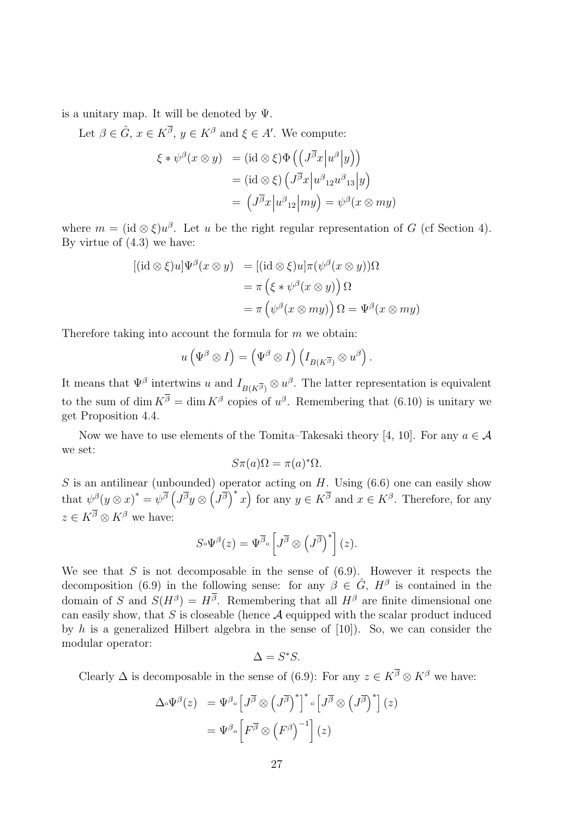is a unitary map. It will be denoted by  $\Psi$ .

Let  $\beta \in \hat{G}$ ,  $x \in K^{\overline{\beta}}$ ,  $y \in K^{\beta}$  and  $\xi \in A'$ . We compute:

$$
\xi * \psi^{\beta}(x \otimes y) = (\mathrm{id} \otimes \xi) \Phi\left( \left( J^{\overline{\beta}} x \middle| u^{\beta} \middle| y \right) \right)
$$

$$
= (\mathrm{id} \otimes \xi) \left( J^{\overline{\beta}} x \middle| u^{\beta} \mathrm{12} u^{\beta} \mathrm{13} \middle| y \right)
$$

$$
= \left( J^{\overline{\beta}} x \middle| u^{\beta} \mathrm{12} \middle| my \right) = \psi^{\beta}(x \otimes my)
$$

where  $m = (\mathrm{id} \otimes \xi)u^{\beta}$ . Let u be the right regular representation of G (cf Section 4). By virtue of (4.3) we have:

$$
[(id \otimes \xi)u]\Psi^{\beta}(x \otimes y) = [(id \otimes \xi)u]\pi(\psi^{\beta}(x \otimes y))\Omega
$$
  
=  $\pi(\xi * \psi^{\beta}(x \otimes y))\Omega$   
=  $\pi(\psi^{\beta}(x \otimes my))\Omega = \Psi^{\beta}(x \otimes my)$ 

Therefore taking into account the formula for  $m$  we obtain:

$$
u\left(\Psi^{\beta}\otimes I\right)=\left(\Psi^{\beta}\otimes I\right)\left(I_{B(K^{\overline{\beta}})}\otimes u^{\beta}\right).
$$

It means that  $\Psi^{\beta}$  intertwins u and  $I_{B(K^{\overline{\beta}})} \otimes u^{\beta}$ . The latter representation is equivalent to the sum of dim  $K^{\beta} = \dim K^{\beta}$  copies of  $u^{\beta}$ . Remembering that (6.10) is unitary we get Proposition 4.4.

Now we have to use elements of the Tomita–Takesaki theory [4, 10]. For any  $a \in \mathcal{A}$ we set:

$$
S\pi(a)\Omega = \pi(a)^*\Omega.
$$

S is an antilinear (unbounded) operator acting on  $H$ . Using  $(6.6)$  one can easily show that  $\psi^{\beta}(y \otimes x)^* = \psi^{\overline{\beta}} \left( J^{\overline{\beta}} y \otimes \left( J^{\overline{\beta}} \right)^* x \right)$  for any  $y \in K^{\overline{\beta}}$  and  $x \in K^{\beta}$ . Therefore, for any  $z \in K^{\overline{\beta}} \otimes K^{\beta}$  we have:

$$
S\circ\Psi^{\beta}(z)=\Psi^{\overline{\beta}}\circ\left[J^{\overline{\beta}}\otimes\left(J^{\overline{\beta}}\right)^{*}\right](z).
$$

We see that  $S$  is not decomposable in the sense of  $(6.9)$ . However it respects the decomposition (6.9) in the following sense: for any  $\beta \in \hat{G}$ ,  $H^{\beta}$  is contained in the domain of S and  $S(H^{\beta}) = H^{\beta}$ . Remembering that all  $H^{\beta}$  are finite dimensional one can easily show, that  $S$  is closeable (hence  $A$  equipped with the scalar product induced by h is a generalized Hilbert algebra in the sense of  $[10]$ ). So, we can consider the modular operator:

$$
\Delta = S^*S.
$$

Clearly  $\Delta$  is decomposable in the sense of (6.9): For any  $z \in K^{\overline{\beta}} \otimes K^{\beta}$  we have:

$$
\Delta \Phi^{\beta}(z) = \Psi^{\beta} \Phi \left[ J^{\overline{\beta}} \otimes \left( J^{\overline{\beta}} \right)^{*} \right]^{*} \Phi \left[ J^{\overline{\beta}} \otimes \left( J^{\overline{\beta}} \right)^{*} \right] (z)
$$

$$
= \Psi^{\beta} \Phi \left[ F^{\overline{\beta}} \otimes \left( F^{\beta} \right)^{-1} \right] (z)
$$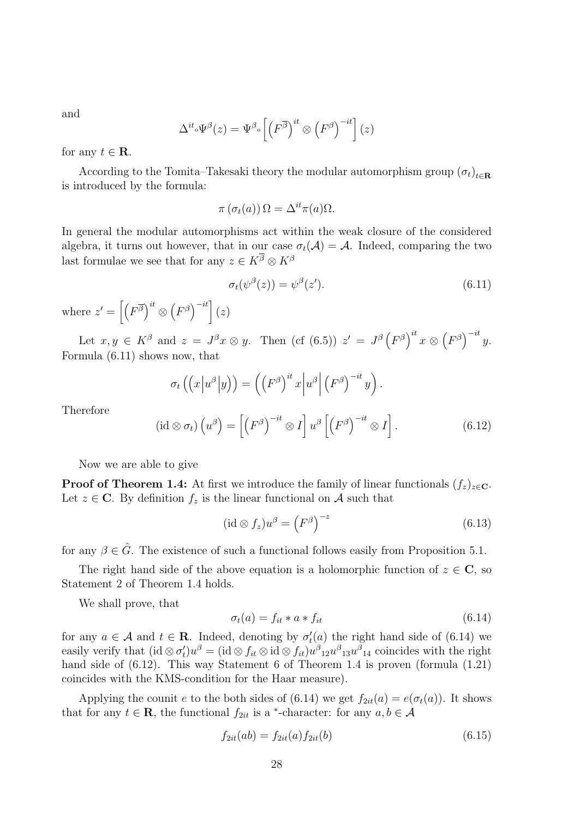and

$$
\Delta^{it} \circ \Psi^{\beta}(z) = \Psi^{\beta} \circ \left[ \left( F^{\overline{\beta}} \right)^{it} \otimes \left( F^{\beta} \right)^{-it} \right] (z)
$$

for any  $t \in \mathbf{R}$ .

According to the Tomita–Takesaki theory the modular automorphism group  $(\sigma_t)_{t \in \mathbb{R}}$ is introduced by the formula:

$$
\pi\left(\sigma_t(a)\right)\Omega = \Delta^{it}\pi(a)\Omega.
$$

In general the modular automorphisms act within the weak closure of the considered algebra, it turns out however, that in our case  $\sigma_t(\mathcal{A}) = \mathcal{A}$ . Indeed, comparing the two last formulae we see that for any  $z \in K^{\overline{\beta}} \otimes K^{\beta}$ 

$$
\sigma_t(\psi^\beta(z)) = \psi^\beta(z'). \tag{6.11}
$$

where  $z' = \left[ \left( F^{\overline{\beta}} \right)^{it} \otimes \left( F^{\beta} \right)^{-it} \right] (z)$ 

Let  $x, y \in K^{\beta}$  and  $z = J^{\beta}x \otimes y$ . Then (cf (6.5))  $z' = J^{\beta} (F^{\beta})^{it} x \otimes (F^{\beta})^{-it} y$ . Formula (6.11) shows now, that

$$
\sigma_t\left(\left(x\left|u^{\beta}\right|y\right)\right) = \left(\left(F^{\beta}\right)^{it} x\left|u^{\beta}\right|\left(F^{\beta}\right)^{-it} y\right).
$$

Therefore

$$
(\mathrm{id}\otimes\sigma_t)\left(u^{\beta}\right)=\left[\left(F^{\beta}\right)^{-it}\otimes I\right]u^{\beta}\left[\left(F^{\beta}\right)^{-it}\otimes I\right].\tag{6.12}
$$

Now we are able to give

**Proof of Theorem 1.4:** At first we introduce the family of linear functionals  $(f_z)_{z \in \mathbf{C}}$ . Let  $z \in \mathbb{C}$ . By definition  $f_z$  is the linear functional on A such that

$$
(\mathrm{id} \otimes f_z)u^{\beta} = \left(F^{\beta}\right)^{-z} \tag{6.13}
$$

for any  $\beta \in \hat{G}$ . The existence of such a functional follows easily from Proposition 5.1.

The right hand side of the above equation is a holomorphic function of  $z \in \mathbb{C}$ , so Statement 2 of Theorem 1.4 holds.

We shall prove, that

$$
\sigma_t(a) = f_{it} * a * f_{it} \tag{6.14}
$$

for any  $a \in \mathcal{A}$  and  $t \in \mathbf{R}$ . Indeed, denoting by  $\sigma_t$  $t'_t(a)$  the right hand side of  $(6.14)$  we easily verify that (id  $\otimes \sigma_t'$  $f_t u^{\beta} = (\mathrm{id} \otimes f_{it} \otimes \mathrm{id} \otimes f_{it}) u^{\beta}{}_{12} u^{\beta}{}_{13} u^{\beta}{}_{14}$  coincides with the right hand side of  $(6.12)$ . This way Statement 6 of Theorem 1.4 is proven (formula  $(1.21)$ ) coincides with the KMS-condition for the Haar measure).

Applying the counit e to the both sides of (6.14) we get  $f_{2it}(a) = e(\sigma_t(a))$ . It shows that for any  $t \in \mathbf{R}$ , the functional  $f_{2it}$  is a <sup>\*</sup>-character: for any  $a, b \in \mathcal{A}$ 

$$
f_{2it}(ab) = f_{2it}(a) f_{2it}(b)
$$
\n(6.15)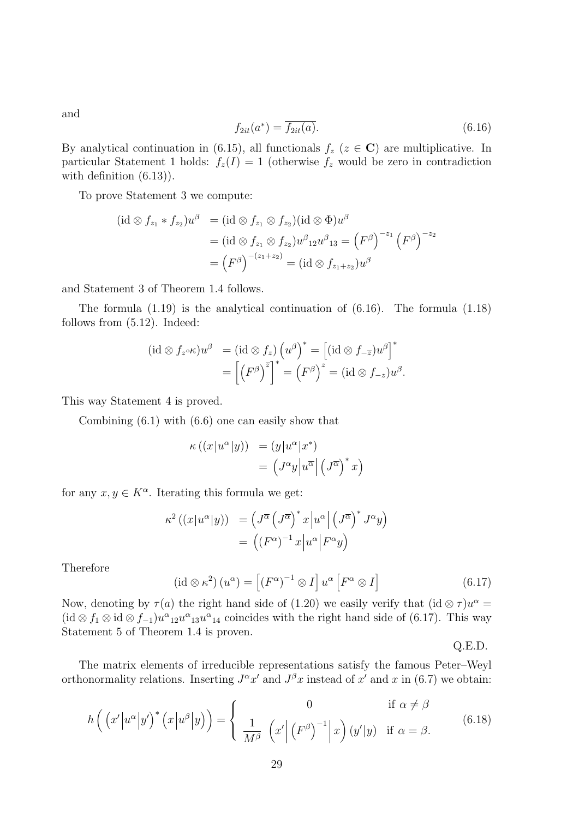$$
f_{2it}(a^*) = \overline{f_{2it}(a)}.\tag{6.16}
$$

By analytical continuation in (6.15), all functionals  $f_z$  ( $z \in \mathbb{C}$ ) are multiplicative. In particular Statement 1 holds:  $f_z(I) = 1$  (otherwise  $f_z$  would be zero in contradiction with definition  $(6.13)$ .

To prove Statement 3 we compute:

(id ⊗ f<sup>z</sup><sup>1</sup> ∗ f<sup>z</sup><sup>2</sup> )u <sup>β</sup> = (id ⊗ f<sup>z</sup><sup>1</sup> ⊗ f<sup>z</sup><sup>2</sup> )(id ⊗ Φ)u β = (id ⊗ f<sup>z</sup><sup>1</sup> ⊗ f<sup>z</sup><sup>2</sup> )u β <sup>12</sup>u β <sup>13</sup> = F β −z<sup>1</sup> F β −z<sup>2</sup> = F β −(z1+z2) = (id ⊗ f<sup>z</sup>1+z<sup>2</sup> )u β

and Statement 3 of Theorem 1.4 follows.

The formula (1.19) is the analytical continuation of (6.16). The formula (1.18) follows from (5.12). Indeed:

$$
(\mathrm{id} \otimes f_{z} \circ \kappa)u^{\beta} = (\mathrm{id} \otimes f_{z})\left(u^{\beta}\right)^{*} = \left[(\mathrm{id} \otimes f_{-\overline{z}})u^{\beta}\right]^{*}
$$

$$
= \left[\left(F^{\beta}\right)^{\overline{z}}\right]^{*} = \left(F^{\beta}\right)^{z} = (\mathrm{id} \otimes f_{-z})u^{\beta}.
$$

This way Statement 4 is proved.

Combining (6.1) with (6.6) one can easily show that

$$
\kappa ((x|u^{\alpha }|y)) = (y|u^{\alpha }|x^*)
$$
  
= 
$$
(J^{\alpha }y|u^{\overline{\alpha }}|(J^{\overline{\alpha }})^*x)
$$

for any  $x, y \in K^{\alpha}$ . Iterating this formula we get:

$$
\kappa^2 ((x|u^{\alpha}|y)) = (J^{\overline{\alpha}} (J^{\overline{\alpha}})^* x |u^{\alpha}| (J^{\overline{\alpha}})^* J^{\alpha}y)
$$
  
= 
$$
((F^{\alpha})^{-1} x |u^{\alpha}| F^{\alpha}y)
$$

**Therefore** 

$$
(\mathrm{id}\otimes\kappa^2)\,(u^{\alpha}) = \left[\left(F^{\alpha}\right)^{-1}\otimes I\right]u^{\alpha}\left[F^{\alpha}\otimes I\right] \tag{6.17}
$$

Now, denoting by  $\tau(a)$  the right hand side of (1.20) we easily verify that (id  $\otimes \tau$ ) $u^{\alpha}$  = (id  $\otimes f_1 \otimes \mathrm{id} \otimes f_{-1} u^{\alpha}_{12} u^{\alpha}_{13} u^{\alpha}_{14}$  coincides with the right hand side of (6.17). This way Statement 5 of Theorem 1.4 is proven.

Q.E.D.

The matrix elements of irreducible representations satisfy the famous Peter–Weyl orthonormality relations. Inserting  $J^{\alpha}x'$  and  $J^{\beta}x$  instead of  $x'$  and  $x$  in (6.7) we obtain:

$$
h\left(\left(x'|u^{\alpha}|y'\right)^{*}\left(x|u^{\beta}|y\right)\right) = \begin{cases} 0 & \text{if } \alpha \neq \beta\\ \frac{1}{M^{\beta}} \left(x'\left|\left(F^{\beta}\right)^{-1}\right|x\right)(y'|y) & \text{if } \alpha = \beta. \end{cases}
$$
(6.18)

and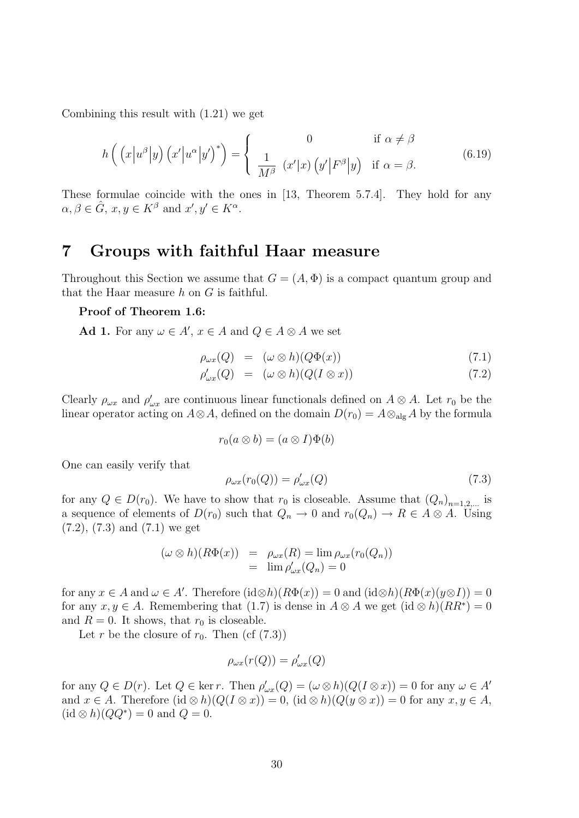Combining this result with (1.21) we get

$$
h\left(\left(x\left|u^{\beta}\right|y\right)\left(x'\left|u^{\alpha}\right|y'\right)^{*}\right) = \begin{cases} 0 & \text{if } \alpha \neq \beta\\ \frac{1}{M^{\beta}}\left(x'|x\right)\left(y'\left|F^{\beta}\right|y\right) & \text{if } \alpha = \beta. \end{cases}
$$
(6.19)

These formulae coincide with the ones in [13, Theorem 5.7.4]. They hold for any  $\alpha, \beta \in \hat{G}$ ,  $x, y \in K^{\beta}$  and  $x', y' \in K^{\alpha}$ .

## 7 Groups with faithful Haar measure

Throughout this Section we assume that  $G = (A, \Phi)$  is a compact quantum group and that the Haar measure  $h$  on  $G$  is faithful.

#### Proof of Theorem 1.6:

Ad 1. For any  $\omega \in A'$ ,  $x \in A$  and  $Q \in A \otimes A$  we set

$$
\rho_{\omega x}(Q) = (\omega \otimes h)(Q\Phi(x)) \tag{7.1}
$$

$$
\rho'_{\omega x}(Q) = (\omega \otimes h)(Q(I \otimes x)) \tag{7.2}
$$

Clearly  $\rho_{\omega x}$  and  $\rho'_{\omega x}$  are continuous linear functionals defined on  $A \otimes A$ . Let  $r_0$  be the linear operator acting on  $A \otimes A$ , defined on the domain  $D(r_0) = A \otimes_{\text{alg}} A$  by the formula

$$
r_0(a\otimes b)=(a\otimes I)\Phi(b)
$$

One can easily verify that

$$
\rho_{\omega x}(r_0(Q)) = \rho'_{\omega x}(Q) \tag{7.3}
$$

for any  $Q \in D(r_0)$ . We have to show that  $r_0$  is closeable. Assume that  $(Q_n)_{n=1,2,...}$  is a sequence of elements of  $D(r_0)$  such that  $Q_n \to 0$  and  $r_0(Q_n) \to R \in A \otimes A$ . Using (7.2), (7.3) and (7.1) we get

$$
(\omega \otimes h)(R\Phi(x)) = \rho_{\omega x}(R) = \lim_{\rho_{\omega x}(Q_n)} \rho_{\omega x}(r_0(Q_n))
$$
  
=  $\lim_{\rho_{\omega x}(Q_n)} \rho_{\omega x}(Q_n) = 0$ 

for any  $x \in A$  and  $\omega \in A'$ . Therefore  $(id \otimes h)(R\Phi(x)) = 0$  and  $(id \otimes h)(R\Phi(x)(y \otimes I)) = 0$ for any  $x, y \in A$ . Remembering that (1.7) is dense in  $A \otimes A$  we get  $(id \otimes h)(RR^*) = 0$ and  $R = 0$ . It shows, that  $r_0$  is closeable.

Let r be the closure of  $r_0$ . Then (cf  $(7.3)$ )

$$
\rho_{\omega x}(r(Q)) = \rho_{\omega x}'(Q)
$$

for any  $Q \in D(r)$ . Let  $Q \in \text{ker } r$ . Then  $\rho'_{\omega x}(Q) = (\omega \otimes h)(Q(I \otimes x)) = 0$  for any  $\omega \in A'$ and  $x \in A$ . Therefore  $(id \otimes h)(Q(I \otimes x)) = 0$ ,  $(id \otimes h)(Q(y \otimes x)) = 0$  for any  $x, y \in A$ ,  $(id \otimes h)(QQ^*) = 0$  and  $Q = 0$ .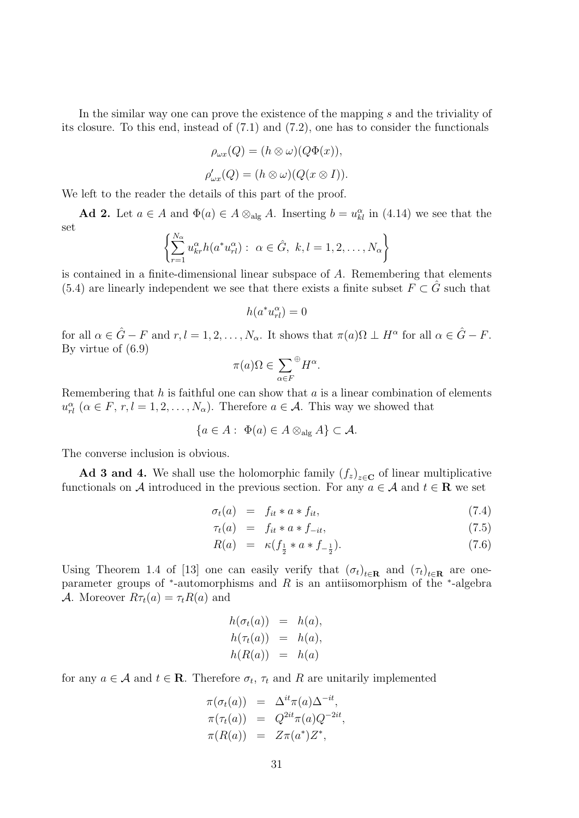In the similar way one can prove the existence of the mapping s and the triviality of its closure. To this end, instead of (7.1) and (7.2), one has to consider the functionals

$$
\rho_{\omega x}(Q) = (h \otimes \omega)(Q\Phi(x)),
$$
  

$$
\rho_{\omega x}'(Q) = (h \otimes \omega)(Q(x \otimes I)).
$$

We left to the reader the details of this part of the proof.

Ad 2. Let  $a \in A$  and  $\Phi(a) \in A \otimes_{\text{alg}} A$ . Inserting  $b = u_{kl}^{\alpha}$  in (4.14) we see that the set

$$
\left\{\sum_{r=1}^{N_{\alpha}} u_{kr}^{\alpha} h(a^* u_{rl}^{\alpha}) : \ \alpha \in \hat{G}, \ k, l = 1, 2, \dots, N_{\alpha}\right\}
$$

is contained in a finite-dimensional linear subspace of A. Remembering that elements (5.4) are linearly independent we see that there exists a finite subset  $F \subset \hat{G}$  such that

$$
h(a^*u_{rl}^\alpha) = 0
$$

for all  $\alpha \in \hat{G} - F$  and  $r, l = 1, 2, \ldots, N_{\alpha}$ . It shows that  $\pi(a) \Omega \perp H^{\alpha}$  for all  $\alpha \in \hat{G} - F$ . By virtue of (6.9)

$$
\pi(a)\Omega \in \sum_{\alpha \in F} \mathcal{H}^{\alpha}.
$$

Remembering that h is faithful one can show that  $a$  is a linear combination of elements  $u_{rl}^{\alpha}$  ( $\alpha \in F$ ,  $r, l = 1, 2, ..., N_{\alpha}$ ). Therefore  $a \in \mathcal{A}$ . This way we showed that

$$
\{a\in A: \Phi(a)\in A\otimes_{\text{alg}} A\}\subset \mathcal{A}.
$$

The converse inclusion is obvious.

Ad 3 and 4. We shall use the holomorphic family  $(f_z)_{z \in \mathbf{C}}$  of linear multiplicative functionals on A introduced in the previous section. For any  $a \in A$  and  $t \in \mathbb{R}$  we set

$$
\sigma_t(a) = f_{it} * a * f_{it}, \qquad (7.4)
$$

$$
\tau_t(a) = f_{it} * a * f_{-it}, \qquad (7.5)
$$

$$
R(a) = \kappa (f_{\frac{1}{2}} * a * f_{-\frac{1}{2}}). \tag{7.6}
$$

Using Theorem 1.4 of [13] one can easily verify that  $(\sigma_t)_{t \in \mathbf{R}}$  and  $(\tau_t)_{t \in \mathbf{R}}$  are oneparameter groups of \*-automorphisms and R is an antiisomorphism of the \*-algebra A. Moreover  $R\tau_t(a) = \tau_t R(a)$  and

$$
h(\sigma_t(a)) = h(a),
$$
  
\n
$$
h(\tau_t(a)) = h(a),
$$
  
\n
$$
h(R(a)) = h(a)
$$

for any  $a \in \mathcal{A}$  and  $t \in \mathbf{R}$ . Therefore  $\sigma_t$ ,  $\tau_t$  and R are unitarily implemented

$$
\pi(\sigma_t(a)) = \Delta^{it}\pi(a)\Delta^{-it},
$$
  
\n
$$
\pi(\tau_t(a)) = Q^{2it}\pi(a)Q^{-2it},
$$
  
\n
$$
\pi(R(a)) = Z\pi(a^*)Z^*,
$$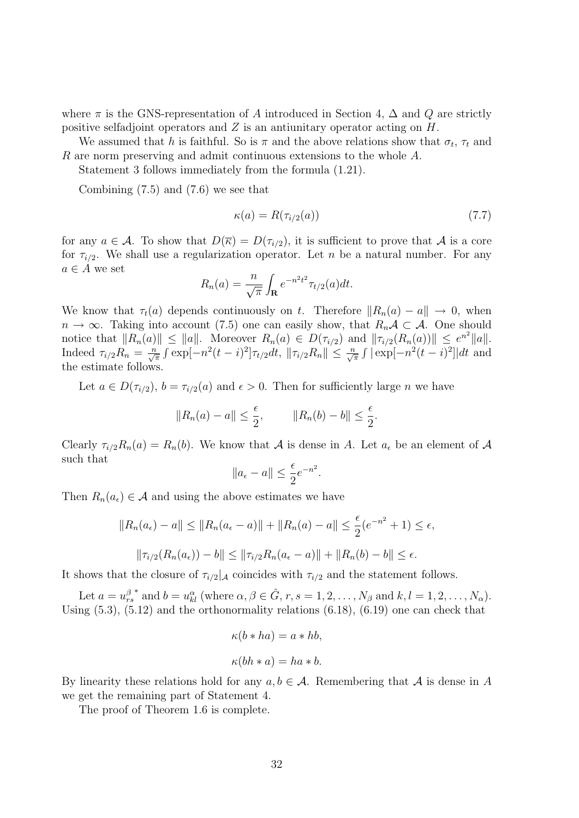where  $\pi$  is the GNS-representation of A introduced in Section 4,  $\Delta$  and Q are strictly positive selfadjoint operators and Z is an antiunitary operator acting on H.

We assumed that h is faithful. So is  $\pi$  and the above relations show that  $\sigma_t$ ,  $\tau_t$  and R are norm preserving and admit continuous extensions to the whole A.

Statement 3 follows immediately from the formula (1.21).

Combining (7.5) and (7.6) we see that

$$
\kappa(a) = R(\tau_{i/2}(a))\tag{7.7}
$$

for any  $a \in \mathcal{A}$ . To show that  $D(\overline{\kappa}) = D(\tau_{i/2})$ , it is sufficient to prove that  $\mathcal{A}$  is a core for  $\tau_{i/2}$ . We shall use a regularization operator. Let n be a natural number. For any  $a \in A$  we set

$$
R_n(a) = \frac{n}{\sqrt{\pi}} \int_{\mathbf{R}} e^{-n^2 t^2} \tau_{t/2}(a) dt.
$$

We know that  $\tau_t(a)$  depends continuously on t. Therefore  $||R_n(a) - a|| \to 0$ , when  $n \to \infty$ . Taking into account (7.5) one can easily show, that  $R_n\mathcal{A} \subset \mathcal{A}$ . One should notice that  $||R_n(a)|| \le ||a||$ . Moreover  $R_n(a) \in D(\tau_{i/2})$  and  $||\tau_{i/2}(R_n(a))|| \le e^{n^2}||a||$ . Indeed  $\tau_{i/2}R_n = \frac{n}{\sqrt{\pi}} \int \exp[-n^2(t-i)^2]\tau_{t/2}dt$ ,  $\|\tau_{i/2}R_n\| \le \frac{n}{\sqrt{\pi}} \int |\exp[-n^2(t-i)^2]|dt$  and the estimate follows.

Let  $a \in D(\tau_{i/2}), b = \tau_{i/2}(a)$  and  $\epsilon > 0$ . Then for sufficiently large n we have

$$
||R_n(a) - a|| \le \frac{\epsilon}{2}, \qquad ||R_n(b) - b|| \le \frac{\epsilon}{2}.
$$

Clearly  $\tau_{i/2}R_n(a) = R_n(b)$ . We know that A is dense in A. Let  $a_{\epsilon}$  be an element of A such that

$$
||a_{\epsilon} - a|| \leq \frac{\epsilon}{2} e^{-n^2}.
$$

Then  $R_n(a_\epsilon) \in \mathcal{A}$  and using the above estimates we have

$$
||R_n(a_{\epsilon}) - a|| \le ||R_n(a_{\epsilon} - a)|| + ||R_n(a) - a|| \le \frac{\epsilon}{2}(e^{-n^2} + 1) \le \epsilon,
$$
  

$$
||\tau_{i/2}(R_n(a_{\epsilon})) - b|| \le ||\tau_{i/2}R_n(a_{\epsilon} - a)|| + ||R_n(b) - b|| \le \epsilon.
$$

It shows that the closure of  $\tau_{i/2}|\mathcal{A}$  coincides with  $\tau_{i/2}$  and the statement follows.

Let  $a=u_{rs}^{\beta}$ \* and  $b = u_{kl}^{\alpha}$  (where  $\alpha, \beta \in \hat{G}$ ,  $r, s = 1, 2, ..., N_{\beta}$  and  $k, l = 1, 2, ..., N_{\alpha}$ ). Using  $(5.3)$ ,  $(5.12)$  and the orthonormality relations  $(6.18)$ ,  $(6.19)$  one can check that

$$
\kappa(b * ha) = a * hb,
$$
  

$$
\kappa(bh * a) = ha * b.
$$

By linearity these relations hold for any  $a, b \in \mathcal{A}$ . Remembering that  $\mathcal A$  is dense in A we get the remaining part of Statement 4.

The proof of Theorem 1.6 is complete.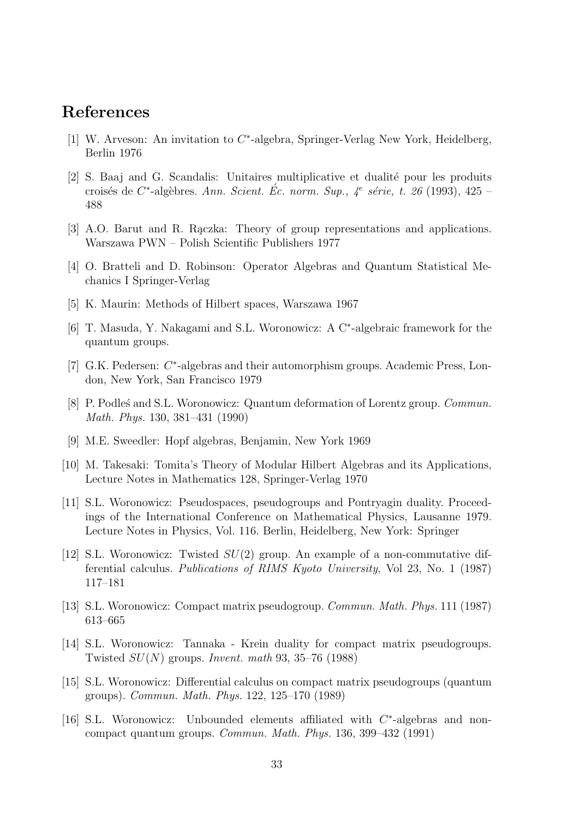### References

- [1] W. Arveson: An invitation to C<sup>\*</sup>-algebra, Springer-Verlag New York, Heidelberg, Berlin 1976
- [2] S. Baaj and G. Scandalis: Unitaires multiplicative et dualité pour les produits croisés de C<sup>\*</sup>-algèbres. Ann. Scient. Éc. norm. Sup., 4<sup>e</sup> série, t. 26 (1993), 425 – 488
- [3] A.O. Barut and R. Raczka: Theory of group representations and applications. Warszawa PWN – Polish Scientific Publishers 1977
- [4] O. Bratteli and D. Robinson: Operator Algebras and Quantum Statistical Mechanics I Springer-Verlag
- [5] K. Maurin: Methods of Hilbert spaces, Warszawa 1967
- [6] T. Masuda, Y. Nakagami and S.L. Woronowicz: A C<sup>∗</sup> -algebraic framework for the quantum groups.
- [7] G.K. Pedersen: C<sup>\*</sup>-algebras and their automorphism groups. Academic Press, London, New York, San Francisco 1979
- [8] P. Podles´ and S.L. Woronowicz: Quantum deformation of Lorentz group. *Commun.* Math. Phys. 130, 381–431 (1990)
- [9] M.E. Sweedler: Hopf algebras, Benjamin, New York 1969
- [10] M. Takesaki: Tomita's Theory of Modular Hilbert Algebras and its Applications, Lecture Notes in Mathematics 128, Springer-Verlag 1970
- [11] S.L. Woronowicz: Pseudospaces, pseudogroups and Pontryagin duality. Proceedings of the International Conference on Mathematical Physics, Lausanne 1979. Lecture Notes in Physics, Vol. 116. Berlin, Heidelberg, New York: Springer
- [12] S.L. Woronowicz: Twisted  $SU(2)$  group. An example of a non-commutative differential calculus. Publications of RIMS Kyoto University, Vol 23, No. 1 (1987) 117–181
- [13] S.L. Woronowicz: Compact matrix pseudogroup. Commun. Math. Phys. 111 (1987) 613–665
- [14] S.L. Woronowicz: Tannaka Krein duality for compact matrix pseudogroups. Twisted  $SU(N)$  groups. Invent. math 93, 35–76 (1988)
- [15] S.L. Woronowicz: Differential calculus on compact matrix pseudogroups (quantum groups). Commun. Math. Phys. 122, 125–170 (1989)
- [16] S.L. Woronowicz: Unbounded elements affiliated with  $C^*$ -algebras and noncompact quantum groups. Commun. Math. Phys. 136, 399–432 (1991)